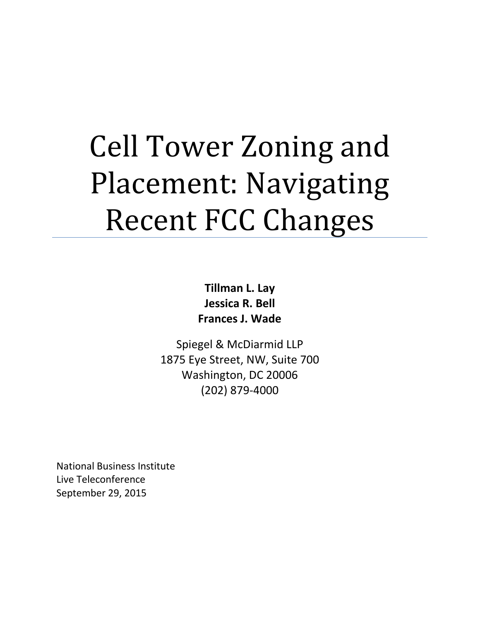# Cell Tower Zoning and Placement: Navigating Recent FCC Changes

**Tillman L. Lay Jessica R. Bell Frances J. Wade**

Spiegel & McDiarmid LLP 1875 Eye Street, NW, Suite 700 Washington, DC 20006 (202) 879-4000

National Business Institute Live Teleconference September 29, 2015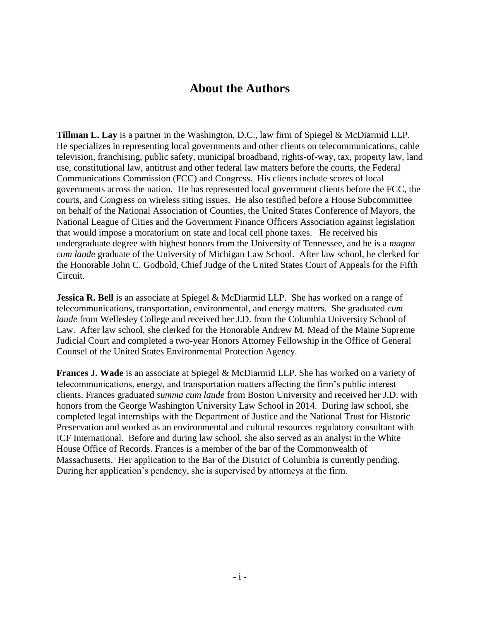# **About the Authors**

**Tillman L. Lay** is a partner in the Washington, D.C., law firm of Spiegel & McDiarmid LLP. He specializes in representing local governments and other clients on telecommunications, cable television, franchising, public safety, municipal broadband, rights-of-way, tax, property law, land use, constitutional law, antitrust and other federal law matters before the courts, the Federal Communications Commission (FCC) and Congress. His clients include scores of local governments across the nation. He has represented local government clients before the FCC, the courts, and Congress on wireless siting issues. He also testified before a House Subcommittee on behalf of the National Association of Counties, the United States Conference of Mayors, the National League of Cities and the Government Finance Officers Association against legislation that would impose a moratorium on state and local cell phone taxes. He received his undergraduate degree with highest honors from the University of Tennessee, and he is a *magna cum laude* graduate of the University of Michigan Law School. After law school, he clerked for the Honorable John C. Godbold, Chief Judge of the United States Court of Appeals for the Fifth Circuit.

**Jessica R. Bell** is an associate at Spiegel & McDiarmid LLP. She has worked on a range of telecommunications, transportation, environmental, and energy matters. She graduated *cum laude* from Wellesley College and received her J.D. from the Columbia University School of Law. After law school, she clerked for the Honorable Andrew M. Mead of the Maine Supreme Judicial Court and completed a two-year Honors Attorney Fellowship in the Office of General Counsel of the United States Environmental Protection Agency.

**Frances J. Wade** is an associate at Spiegel & McDiarmid LLP. She has worked on a variety of telecommunications, energy, and transportation matters affecting the firm's public interest clients. Frances graduated *summa cum laude* from Boston University and received her J.D. with honors from the George Washington University Law School in 2014. During law school, she completed legal internships with the Department of Justice and the National Trust for Historic Preservation and worked as an environmental and cultural resources regulatory consultant with ICF International. Before and during law school, she also served as an analyst in the White House Office of Records. Frances is a member of the bar of the Commonwealth of Massachusetts. Her application to the Bar of the District of Columbia is currently pending. During her application's pendency, she is supervised by attorneys at the firm.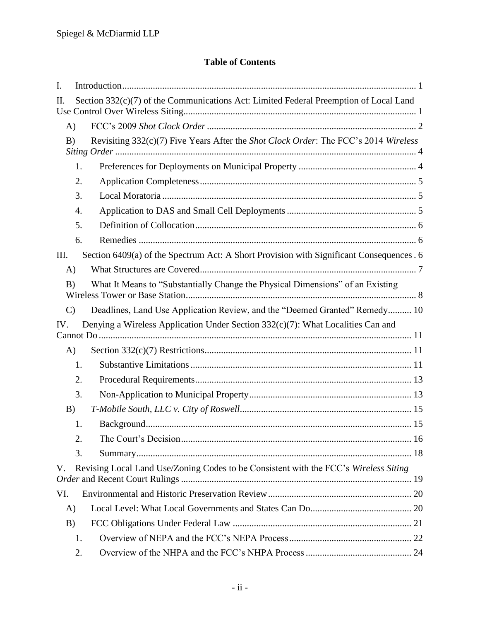# **Table of Contents**

| I.           |                                                                                          |  |
|--------------|------------------------------------------------------------------------------------------|--|
| II.          | Section 332(c)(7) of the Communications Act: Limited Federal Preemption of Local Land    |  |
| A)           |                                                                                          |  |
| B)           | Revisiting 332(c)(7) Five Years After the Shot Clock Order: The FCC's 2014 Wireless      |  |
|              | 1.                                                                                       |  |
|              | 2.                                                                                       |  |
|              | 3.                                                                                       |  |
|              | 4.                                                                                       |  |
|              | 5.                                                                                       |  |
|              | 6.                                                                                       |  |
| Ш.           | Section 6409(a) of the Spectrum Act: A Short Provision with Significant Consequences . 6 |  |
| A)           |                                                                                          |  |
| B)           | What It Means to "Substantially Change the Physical Dimensions" of an Existing           |  |
| $\mathbf{C}$ | Deadlines, Land Use Application Review, and the "Deemed Granted" Remedy 10               |  |
| IV.          | Denying a Wireless Application Under Section 332(c)(7): What Localities Can and          |  |
|              |                                                                                          |  |
| A)           |                                                                                          |  |
|              | 1.                                                                                       |  |
|              | 2.                                                                                       |  |
|              | 3.                                                                                       |  |
| B)           |                                                                                          |  |
|              | 1.                                                                                       |  |
|              | 2.                                                                                       |  |
|              | 3.                                                                                       |  |
| V.           | Revising Local Land Use/Zoning Codes to be Consistent with the FCC's Wireless Siting     |  |
| VI.          |                                                                                          |  |
| A)           |                                                                                          |  |
| B)           |                                                                                          |  |
|              | 1.                                                                                       |  |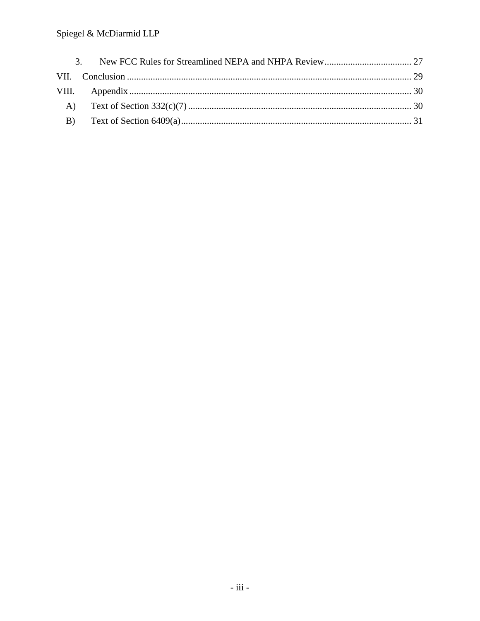# Spiegel & McDiarmid LLP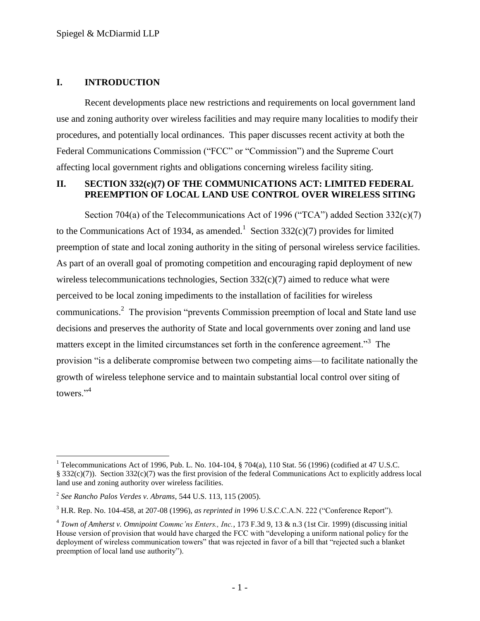#### <span id="page-4-0"></span>**I. INTRODUCTION**

Recent developments place new restrictions and requirements on local government land use and zoning authority over wireless facilities and may require many localities to modify their procedures, and potentially local ordinances. This paper discusses recent activity at both the Federal Communications Commission ("FCC" or "Commission") and the Supreme Court affecting local government rights and obligations concerning wireless facility siting.

#### <span id="page-4-1"></span>**II. SECTION 332(c)(7) OF THE COMMUNICATIONS ACT: LIMITED FEDERAL PREEMPTION OF LOCAL LAND USE CONTROL OVER WIRELESS SITING**

Section 704(a) of the Telecommunications Act of 1996 ("TCA") added Section  $332(c)(7)$ to the Communications Act of 1934, as amended.<sup>1</sup> Section 332(c)(7) provides for limited preemption of state and local zoning authority in the siting of personal wireless service facilities. As part of an overall goal of promoting competition and encouraging rapid deployment of new wireless telecommunications technologies, Section 332(c)(7) aimed to reduce what were perceived to be local zoning impediments to the installation of facilities for wireless communications.<sup>2</sup> The provision "prevents Commission preemption of local and State land use decisions and preserves the authority of State and local governments over zoning and land use matters except in the limited circumstances set forth in the conference agreement."<sup>3</sup> The provision "is a deliberate compromise between two competing aims—to facilitate nationally the growth of wireless telephone service and to maintain substantial local control over siting of towers."<sup>4</sup>

<sup>&</sup>lt;sup>1</sup> Telecommunications Act of 1996, Pub. L. No. 104-104, § 704(a), 110 Stat. 56 (1996) (codified at 47 U.S.C. § 332(c)(7)). Section 332(c)(7) was the first provision of the federal Communications Act to explicitly address local land use and zoning authority over wireless facilities.

<sup>2</sup> *See Rancho Palos Verdes v. Abrams*, 544 U.S. 113, 115 (2005).

<sup>&</sup>lt;sup>3</sup> H.R. Rep. No. 104-458, at 207-08 (1996), *as reprinted in* 1996 U.S.C.C.A.N. 222 ("Conference Report").

<sup>4</sup> *Town of Amherst v. Omnipoint Commc'ns Enters., Inc.*, 173 F.3d 9, 13 & n.3 (1st Cir. 1999) (discussing initial House version of provision that would have charged the FCC with "developing a uniform national policy for the deployment of wireless communication towers" that was rejected in favor of a bill that "rejected such a blanket preemption of local land use authority").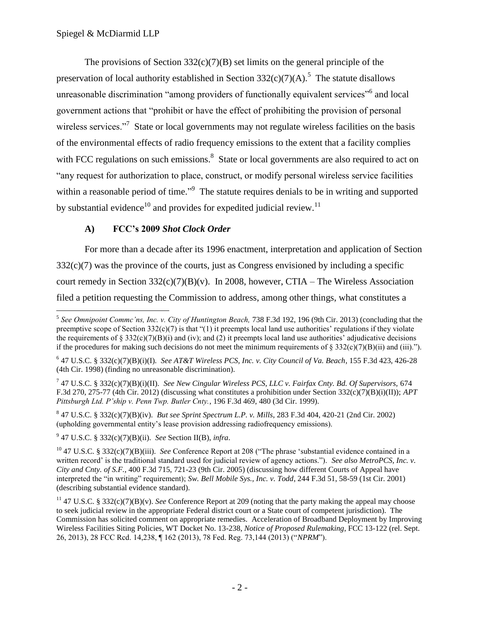The provisions of Section  $332(c)(7)(B)$  set limits on the general principle of the preservation of local authority established in Section  $332(c)(7)(A)$ .<sup>5</sup> The statute disallows unreasonable discrimination "among providers of functionally equivalent services" and local government actions that "prohibit or have the effect of prohibiting the provision of personal wireless services."<sup>7</sup> State or local governments may not regulate wireless facilities on the basis of the environmental effects of radio frequency emissions to the extent that a facility complies with FCC regulations on such emissions. $8$  State or local governments are also required to act on "any request for authorization to place, construct, or modify personal wireless service facilities within a reasonable period of time."<sup>9</sup> The statute requires denials to be in writing and supported by substantial evidence<sup>10</sup> and provides for expedited judicial review.<sup>11</sup>

# **A) FCC's 2009** *Shot Clock Order*

<span id="page-5-0"></span>For more than a decade after its 1996 enactment, interpretation and application of Section  $332(c)(7)$  was the province of the courts, just as Congress envisioned by including a specific court remedy in Section  $332(c)(7)(B)(v)$ . In 2008, however, CTIA – The Wireless Association filed a petition requesting the Commission to address, among other things, what constitutes a

9 47 U.S.C. § 332(c)(7)(B)(ii). *See* Section II(B), *infra*.

<sup>&</sup>lt;sup>5</sup> See Omnipoint Commc'ns, Inc. v. City of Huntington Beach, 738 F.3d 192, 196 (9th Cir. 2013) (concluding that the preemptive scope of Section 332(c)(7) is that "(1) it preempts local land use authorities' regulations if they violate the requirements of  $\S 332(c)(7)(B)(i)$  and (iv); and (2) it preempts local land use authorities' adjudicative decisions if the procedures for making such decisions do not meet the minimum requirements of  $\S 332(c)(7)(B)(ii)$  and (iii).").

<sup>6</sup> 47 U.S.C. § 332(c)(7)(B)(i)(I). *See AT&T Wireless PCS, Inc. v. City Council of Va. Beach*, 155 F.3d 423, 426-28 (4th Cir. 1998) (finding no unreasonable discrimination).

<sup>7</sup> 47 U.S.C. § 332(c)(7)(B)(i)(II). *See New Cingular Wireless PCS, LLC v. Fairfax Cnty. Bd. Of Supervisors,* 674 F.3d 270, 275-77 (4th Cir. 2012) (discussing what constitutes a prohibition under Section 332(c)(7)(B)(i)(II)); *APT Pittsburgh Ltd. P'ship v. Penn Twp. Butler Cnty.*, 196 F.3d 469, 480 (3d Cir. 1999).

<sup>8</sup> 47 U.S.C. § 332(c)(7)(B)(iv). *But see Sprint Spectrum L.P. v. Mills*, 283 F.3d 404, 420-21 (2nd Cir. 2002) (upholding governmental entity's lease provision addressing radiofrequency emissions).

 $^{10}$  47 U.S.C. § 332(c)(7)(B)(iii). *See* Conference Report at 208 ("The phrase 'substantial evidence contained in a written record' is the traditional standard used for judicial review of agency actions."). *See also MetroPCS, Inc. v. City and Cnty. of S.F.*, 400 F.3d 715, 721-23 (9th Cir. 2005) (discussing how different Courts of Appeal have interpreted the "in writing" requirement); *Sw. Bell Mobile Sys., Inc. v. Todd*, 244 F.3d 51, 58-59 (1st Cir. 2001) (describing substantial evidence standard).

<sup>11</sup> 47 U.S.C. § 332(c)(7)(B)(v). *See* Conference Report at 209 (noting that the party making the appeal may choose to seek judicial review in the appropriate Federal district court or a State court of competent jurisdiction). The Commission has solicited comment on appropriate remedies. Acceleration of Broadband Deployment by Improving Wireless Facilities Siting Policies, WT Docket No. 13-238, *Notice of Proposed Rulemaking*, FCC 13-122 (rel. Sept. 26, 2013), 28 FCC Rcd. 14, 238,  $\P$  162 (2013), 78 Fed. Reg. 73, 144 (2013) ("NPRM").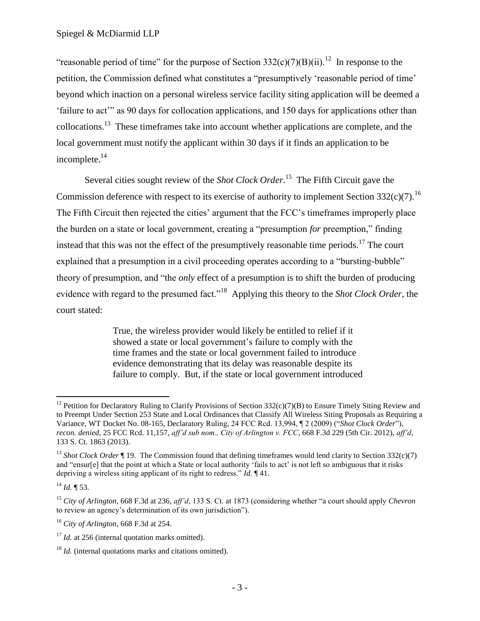"reasonable period of time" for the purpose of Section 332(c)(7)(B)(ii).<sup>12</sup> In response to the petition, the Commission defined what constitutes a "presumptively 'reasonable period of time' beyond which inaction on a personal wireless service facility siting application will be deemed a 'failure to act'" as 90 days for collocation applications, and 150 days for applications other than collocations.<sup>13</sup> These timeframes take into account whether applications are complete, and the local government must notify the applicant within 30 days if it finds an application to be incomplete.<sup>14</sup>

Several cities sought review of the *Shot Clock Order*.<sup>15</sup> The Fifth Circuit gave the Commission deference with respect to its exercise of authority to implement Section 332(c)(7).<sup>16</sup> The Fifth Circuit then rejected the cities' argument that the FCC's timeframes improperly place the burden on a state or local government, creating a "presumption *for* preemption," finding instead that this was not the effect of the presumptively reasonable time periods.<sup>17</sup> The court explained that a presumption in a civil proceeding operates according to a "bursting-bubble" theory of presumption, and "the *only* effect of a presumption is to shift the burden of producing evidence with regard to the presumed fact."<sup>18</sup> Applying this theory to the *Shot Clock Order*, the court stated:

> True, the wireless provider would likely be entitled to relief if it showed a state or local government's failure to comply with the time frames and the state or local government failed to introduce evidence demonstrating that its delay was reasonable despite its failure to comply. But, if the state or local government introduced

 $\overline{a}$ <sup>12</sup> Petition for Declaratory Ruling to Clarify Provisions of Section  $332(c)(7)(B)$  to Ensure Timely Siting Review and to Preempt Under Section 253 State and Local Ordinances that Classify All Wireless Siting Proposals as Requiring a Variance, WT Docket No. 08-165, Declaratory Ruling, 24 FCC Rcd. 13,994,  $\mathbb{I}$  2 (2009) ("Shot Clock Order"), *recon. denied*, 25 FCC Rcd. 11,157, *aff'd sub nom., City of Arlington v. FCC*, 668 F.3d 229 (5th Cir. 2012), *aff'd*, 133 S. Ct. 1863 (2013).

<sup>&</sup>lt;sup>13</sup> *Shot Clock Order*  $\P$  19. The Commission found that defining timeframes would lend clarity to Section 332(c)(7) and "ensur[e] that the point at which a State or local authority 'fails to act' is not left so ambiguous that it risks depriving a wireless siting applicant of its right to redress." *Id.* 141.

 $^{14}$  *Id.* ¶ 53.

<sup>&</sup>lt;sup>15</sup> *City of Arlington*, 668 F.3d at 236, *aff'd*, 133 S. Ct. at 1873 (considering whether "a court should apply *Chevron* to review an agency's determination of its own jurisdiction").

<sup>16</sup> *City of Arlington,* 668 F.3d at 254.

<sup>&</sup>lt;sup>17</sup> *Id.* at 256 (internal quotation marks omitted).

<sup>&</sup>lt;sup>18</sup> *Id.* (internal quotations marks and citations omitted).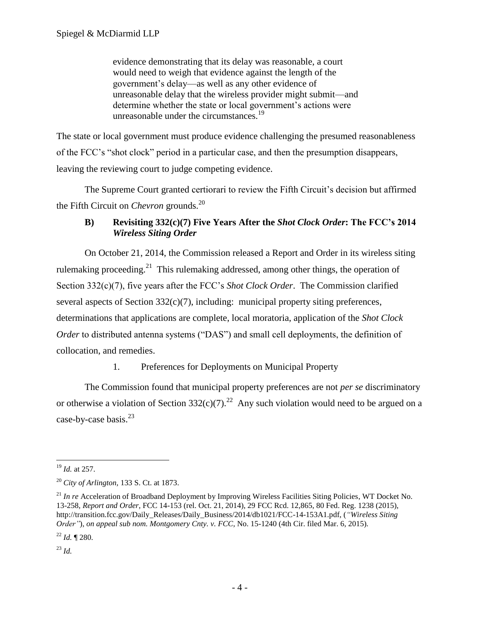evidence demonstrating that its delay was reasonable, a court would need to weigh that evidence against the length of the government's delay—as well as any other evidence of unreasonable delay that the wireless provider might submit—and determine whether the state or local government's actions were unreasonable under the circumstances.<sup>19</sup>

The state or local government must produce evidence challenging the presumed reasonableness of the FCC's "shot clock" period in a particular case, and then the presumption disappears, leaving the reviewing court to judge competing evidence.

The Supreme Court granted certiorari to review the Fifth Circuit's decision but affirmed the Fifth Circuit on *Chevron* grounds.<sup>20</sup>

# <span id="page-7-0"></span>**B) Revisiting 332(c)(7) Five Years After the** *Shot Clock Order***: The FCC's 2014**  *Wireless Siting Order*

On October 21, 2014, the Commission released a Report and Order in its wireless siting rulemaking proceeding.<sup>21</sup> This rulemaking addressed, among other things, the operation of Section 332(c)(7), five years after the FCC's *Shot Clock Order*. The Commission clarified several aspects of Section 332(c)(7), including: municipal property siting preferences, determinations that applications are complete, local moratoria, application of the *Shot Clock Order* to distributed antenna systems ("DAS") and small cell deployments, the definition of collocation, and remedies.

# 1. Preferences for Deployments on Municipal Property

<span id="page-7-1"></span>The Commission found that municipal property preferences are not *per se* discriminatory or otherwise a violation of Section 332(c)(7).<sup>22</sup> Any such violation would need to be argued on a case-by-case basis.<sup>23</sup>

<sup>23</sup> *Id.*

 $\overline{a}$ <sup>19</sup> *Id.* at 257.

<sup>20</sup> *City of Arlington,* 133 S. Ct. at 1873.

<sup>&</sup>lt;sup>21</sup> *In re* Acceleration of Broadband Deployment by Improving Wireless Facilities Siting Policies, WT Docket No. 13-258, *Report and Order*, FCC 14-153 (rel. Oct. 21, 2014), 29 FCC Rcd. 12,865, 80 Fed. Reg. 1238 (2015), http://transition.fcc.gov/Daily\_Releases/Daily\_Business/2014/db1021/FCC-14-153A1.pdf, (*"Wireless Siting Order"*), *on appeal sub nom. Montgomery Cnty. v. FCC*, No. 15-1240 (4th Cir. filed Mar. 6, 2015).

<sup>22</sup> *Id.* ¶ 280.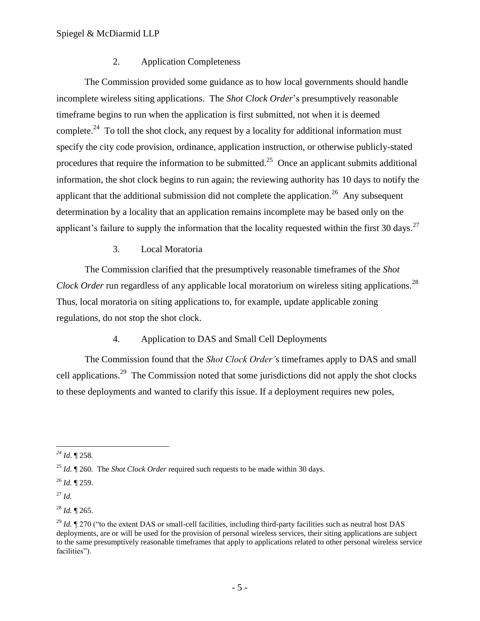#### 2. Application Completeness

<span id="page-8-0"></span>The Commission provided some guidance as to how local governments should handle incomplete wireless siting applications. The *Shot Clock Order*'s presumptively reasonable timeframe begins to run when the application is first submitted, not when it is deemed complete.<sup>24</sup> To toll the shot clock, any request by a locality for additional information must specify the city code provision, ordinance, application instruction, or otherwise publicly-stated procedures that require the information to be submitted.<sup>25</sup> Once an applicant submits additional information, the shot clock begins to run again; the reviewing authority has 10 days to notify the applicant that the additional submission did not complete the application.<sup>26</sup> Any subsequent determination by a locality that an application remains incomplete may be based only on the applicant's failure to supply the information that the locality requested within the first 30 days.<sup>27</sup>

## 3. Local Moratoria

<span id="page-8-1"></span>The Commission clarified that the presumptively reasonable timeframes of the *Shot Clock Order* run regardless of any applicable local moratorium on wireless siting applications.<sup>28</sup> Thus, local moratoria on siting applications to, for example, update applicable zoning regulations, do not stop the shot clock.

#### 4. Application to DAS and Small Cell Deployments

<span id="page-8-2"></span>The Commission found that the *Shot Clock Order'*s timeframes apply to DAS and small cell applications.<sup>29</sup> The Commission noted that some jurisdictions did not apply the shot clocks to these deployments and wanted to clarify this issue. If a deployment requires new poles,

 $\overline{a}$ *<sup>24</sup> Id*. ¶ 258.

<sup>25</sup> *Id.* ¶ 260. The *Shot Clock Order* required such requests to be made within 30 days.

<sup>26</sup> *Id.* ¶ 259.

<sup>27</sup> *Id.*

 $^{28}$  *Id.* ¶ 265.

<sup>&</sup>lt;sup>29</sup> *Id.*  $\P$  270 ("to the extent DAS or small-cell facilities, including third-party facilities such as neutral host DAS deployments, are or will be used for the provision of personal wireless services, their siting applications are subject to the same presumptively reasonable timeframes that apply to applications related to other personal wireless service facilities").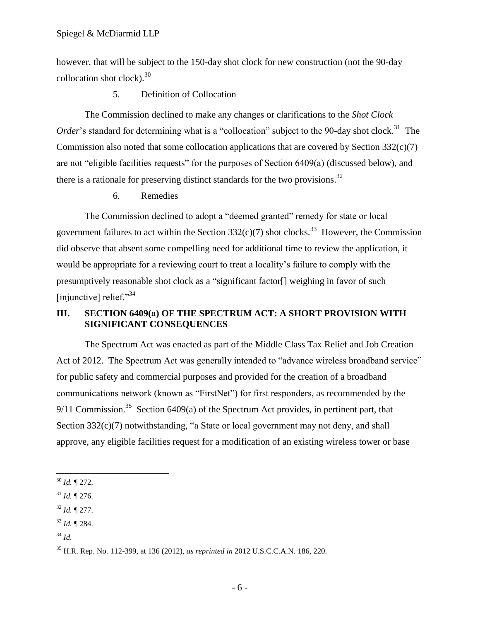however, that will be subject to the 150-day shot clock for new construction (not the 90-day collocation shot clock). $30$ 

#### 5. Definition of Collocation

<span id="page-9-0"></span>The Commission declined to make any changes or clarifications to the *Shot Clock*  Order's standard for determining what is a "collocation" subject to the 90-day shot clock.<sup>31</sup> The Commission also noted that some collocation applications that are covered by Section  $332(c)(7)$ are not "eligible facilities requests" for the purposes of Section  $6409(a)$  (discussed below), and there is a rationale for preserving distinct standards for the two provisions.<sup>32</sup>

6. Remedies

<span id="page-9-1"></span>The Commission declined to adopt a "deemed granted" remedy for state or local government failures to act within the Section  $332(c)(7)$  shot clocks.<sup>33</sup> However, the Commission did observe that absent some compelling need for additional time to review the application, it would be appropriate for a reviewing court to treat a locality's failure to comply with the presumptively reasonable shot clock as a "significant factor<sup>[]</sup> weighing in favor of such [injunctive] relief." $34$ 

## <span id="page-9-2"></span>**III. SECTION 6409(a) OF THE SPECTRUM ACT: A SHORT PROVISION WITH SIGNIFICANT CONSEQUENCES**

The Spectrum Act was enacted as part of the Middle Class Tax Relief and Job Creation Act of 2012. The Spectrum Act was generally intended to "advance wireless broadband service" for public safety and commercial purposes and provided for the creation of a broadband communications network (known as "FirstNet") for first responders, as recommended by the 9/11 Commission.<sup>35</sup> Section 6409(a) of the Spectrum Act provides, in pertinent part, that Section  $332(c)(7)$  notwithstanding, "a State or local government may not deny, and shall approve, any eligible facilities request for a modification of an existing wireless tower or base

- $31$  *Id.*  $\P$  276.
- <sup>32</sup> *Id.* ¶ 277.
- <sup>33</sup> *Id.* ¶ 284.
- <sup>34</sup> *Id.*

 $\overline{a}$ <sup>30</sup> *Id.* ¶ 272.

<sup>35</sup> H.R. Rep. No. 112-399, at 136 (2012), *as reprinted in* 2012 U.S.C.C.A.N. 186, 220.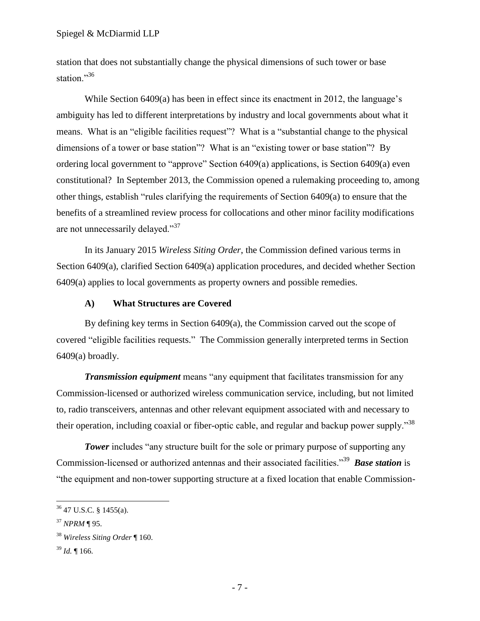station that does not substantially change the physical dimensions of such tower or base station."36

While Section 6409(a) has been in effect since its enactment in 2012, the language's ambiguity has led to different interpretations by industry and local governments about what it means. What is an "eligible facilities request"? What is a "substantial change to the physical dimensions of a tower or base station"? What is an "existing tower or base station"? By ordering local government to "approve" Section  $6409(a)$  applications, is Section  $6409(a)$  even constitutional? In September 2013, the Commission opened a rulemaking proceeding to, among other things, establish "rules clarifying the requirements of Section  $6409(a)$  to ensure that the benefits of a streamlined review process for collocations and other minor facility modifications are not unnecessarily delayed."<sup>37</sup>

In its January 2015 *Wireless Siting Order*, the Commission defined various terms in Section 6409(a), clarified Section 6409(a) application procedures, and decided whether Section 6409(a) applies to local governments as property owners and possible remedies.

#### **A) What Structures are Covered**

<span id="page-10-0"></span>By defining key terms in Section 6409(a), the Commission carved out the scope of covered "eligible facilities requests." The Commission generally interpreted terms in Section  $6409(a)$  broadly.

*Transmission equipment* means "any equipment that facilitates transmission for any Commission-licensed or authorized wireless communication service, including, but not limited to, radio transceivers, antennas and other relevant equipment associated with and necessary to their operation, including coaxial or fiber-optic cable, and regular and backup power supply.<sup>38</sup>

**Tower** includes "any structure built for the sole or primary purpose of supporting any Commission-licensed or authorized antennas and their associated facilities."<sup>39</sup> Base station is "the equipment and non-tower supporting structure at a fixed location that enable Commission-

<sup>36</sup> 47 U.S.C. § 1455(a).

<sup>37</sup> *NPRM* ¶ 95.

<sup>38</sup> *Wireless Siting Order* ¶ 160.

<sup>39</sup> *Id.* ¶ 166.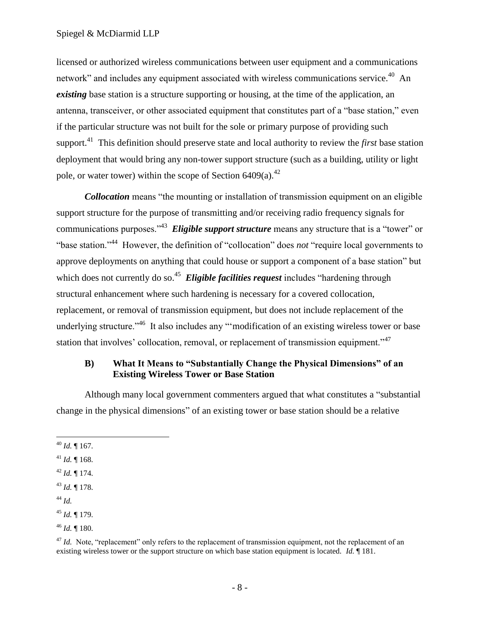licensed or authorized wireless communications between user equipment and a communications network" and includes any equipment associated with wireless communications service.<sup>40</sup> An *existing* base station is a structure supporting or housing, at the time of the application, an antenna, transceiver, or other associated equipment that constitutes part of a "base station," even if the particular structure was not built for the sole or primary purpose of providing such support.<sup>41</sup> This definition should preserve state and local authority to review the *first* base station deployment that would bring any non-tower support structure (such as a building, utility or light pole, or water tower) within the scope of Section  $6409(a)$ .<sup>42</sup>

*Collocation* means "the mounting or installation of transmission equipment on an eligible support structure for the purpose of transmitting and/or receiving radio frequency signals for communications purposes.<sup>343</sup> Eligible support structure means any structure that is a "tower" or "base station."<sup>44</sup> However, the definition of "collocation" does *not* "require local governments to approve deployments on anything that could house or support a component of a base station" but which does not currently do so.<sup>45</sup> *Eligible facilities request* includes "hardening through structural enhancement where such hardening is necessary for a covered collocation, replacement, or removal of transmission equipment, but does not include replacement of the underlying structure."<sup>46</sup> It also includes any "modification of an existing wireless tower or base station that involves' collocation, removal, or replacement of transmission equipment."<sup>47</sup>

#### <span id="page-11-0"></span>**B) What It Means to "Substantially Change the Physical Dimensions" of an Existing Wireless Tower or Base Station**

Although many local government commenters argued that what constitutes a "substantial" change in the physical dimensions" of an existing tower or base station should be a relative

<sup>44</sup> *Id.*

 $\overline{a}$ 

<sup>46</sup> *Id.* ¶ 180.

<sup>40</sup> *Id.* ¶ 167.

<sup>41</sup> *Id.* ¶ 168.

<sup>42</sup> *Id.* ¶ 174.

<sup>43</sup> *Id.* ¶ 178.

<sup>45</sup> *Id.* ¶ 179.

 $^{47}$  *Id.* Note, "replacement" only refers to the replacement of transmission equipment, not the replacement of an existing wireless tower or the support structure on which base station equipment is located. *Id.* ¶ 181.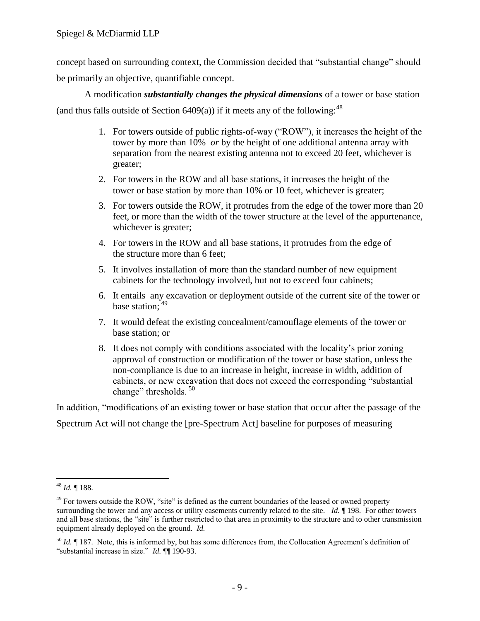concept based on surrounding context, the Commission decided that "substantial change" should be primarily an objective, quantifiable concept.

A modification *substantially changes the physical dimensions* of a tower or base station (and thus falls outside of Section  $6409(a)$ ) if it meets any of the following:<sup>48</sup>

- 1. For towers outside of public rights-of-way ("ROW"), it increases the height of the tower by more than 10% *or* by the height of one additional antenna array with separation from the nearest existing antenna not to exceed 20 feet, whichever is greater;
- 2. For towers in the ROW and all base stations, it increases the height of the tower or base station by more than 10% or 10 feet, whichever is greater;
- 3. For towers outside the ROW, it protrudes from the edge of the tower more than 20 feet, or more than the width of the tower structure at the level of the appurtenance, whichever is greater;
- 4. For towers in the ROW and all base stations, it protrudes from the edge of the structure more than 6 feet;
- 5. It involves installation of more than the standard number of new equipment cabinets for the technology involved, but not to exceed four cabinets;
- 6. It entails any excavation or deployment outside of the current site of the tower or base station:  $49$
- 7. It would defeat the existing concealment/camouflage elements of the tower or base station; or
- 8. It does not comply with conditions associated with the locality's prior zoning approval of construction or modification of the tower or base station, unless the non-compliance is due to an increase in height, increase in width, addition of cabinets, or new excavation that does not exceed the corresponding "substantial" change" thresholds.  $50$

In addition, "modifications of an existing tower or base station that occur after the passage of the Spectrum Act will not change the [pre-Spectrum Act] baseline for purposes of measuring

 $\overline{a}$ <sup>48</sup> *Id.* ¶ 188.

 $49$  For towers outside the ROW, "site" is defined as the current boundaries of the leased or owned property surrounding the tower and any access or utility easements currently related to the site. *Id.* ¶ 198. For other towers and all base stations, the "site" is further restricted to that area in proximity to the structure and to other transmission equipment already deployed on the ground. *Id.*

<sup>50</sup> *Id.* ¶ 187. Note, this is informed by, but has some differences from, the Collocation Agreement's definition of ―substantial increase in size.‖ *Id.* ¶¶ 190-93.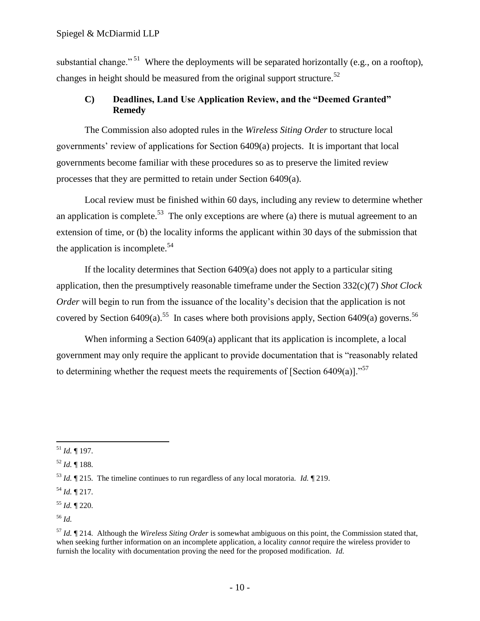substantial change."<sup>51</sup> Where the deployments will be separated horizontally (e.g., on a rooftop), changes in height should be measured from the original support structure.<sup>52</sup>

## <span id="page-13-0"></span>**C) Deadlines, Land Use Application Review, and the "Deemed Granted" Remedy**

The Commission also adopted rules in the *Wireless Siting Order* to structure local governments' review of applications for Section 6409(a) projects. It is important that local governments become familiar with these procedures so as to preserve the limited review processes that they are permitted to retain under Section 6409(a).

Local review must be finished within 60 days, including any review to determine whether an application is complete.<sup>53</sup> The only exceptions are where (a) there is mutual agreement to an extension of time, or (b) the locality informs the applicant within 30 days of the submission that the application is incomplete.<sup>54</sup>

If the locality determines that Section 6409(a) does not apply to a particular siting application, then the presumptively reasonable timeframe under the Section 332(c)(7) *Shot Clock Order* will begin to run from the issuance of the locality's decision that the application is not covered by Section 6409(a).<sup>55</sup> In cases where both provisions apply, Section 6409(a) governs.<sup>56</sup>

When informing a Section 6409(a) applicant that its application is incomplete, a local government may only require the applicant to provide documentation that is "reasonably related to determining whether the request meets the requirements of [Section 6409(a)].<sup>57</sup>

<sup>52</sup> *Id.* ¶ 188.

<sup>54</sup> *Id.* ¶ 217.

 $\overline{a}$ <sup>51</sup> *Id.* ¶ 197.

<sup>53</sup> *Id.* ¶ 215. The timeline continues to run regardless of any local moratoria. *Id.* ¶ 219.

<sup>55</sup> *Id.* ¶ 220.

<sup>56</sup> *Id.*

<sup>57</sup> *Id.* ¶ 214. Although the *Wireless Siting Order* is somewhat ambiguous on this point, the Commission stated that, when seeking further information on an incomplete application, a locality *cannot* require the wireless provider to furnish the locality with documentation proving the need for the proposed modification. *Id.*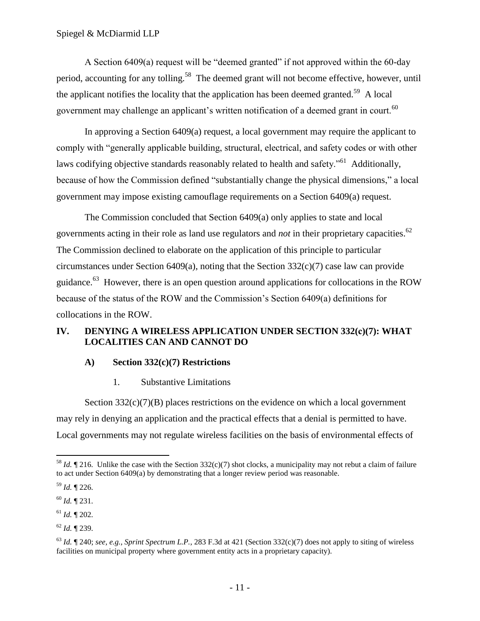A Section  $6409(a)$  request will be "deemed granted" if not approved within the  $60$ -day period, accounting for any tolling.<sup>58</sup> The deemed grant will not become effective, however, until the applicant notifies the locality that the application has been deemed granted.<sup>59</sup> A local government may challenge an applicant's written notification of a deemed grant in court.<sup>60</sup>

In approving a Section 6409(a) request, a local government may require the applicant to comply with "generally applicable building, structural, electrical, and safety codes or with other laws codifying objective standards reasonably related to health and safety."<sup>61</sup> Additionally, because of how the Commission defined "substantially change the physical dimensions," a local government may impose existing camouflage requirements on a Section 6409(a) request.

The Commission concluded that Section 6409(a) only applies to state and local governments acting in their role as land use regulators and *not* in their proprietary capacities.<sup>62</sup> The Commission declined to elaborate on the application of this principle to particular circumstances under Section 6409(a), noting that the Section  $332(c)(7)$  case law can provide guidance.<sup>63</sup> However, there is an open question around applications for collocations in the ROW because of the status of the ROW and the Commission's Section 6409(a) definitions for collocations in the ROW.

## <span id="page-14-0"></span>**IV. DENYING A WIRELESS APPLICATION UNDER SECTION 332(c)(7): WHAT LOCALITIES CAN AND CANNOT DO**

#### <span id="page-14-1"></span>**A) Section 332(c)(7) Restrictions**

1. Substantive Limitations

<span id="page-14-2"></span>Section  $332(c)(7)(B)$  places restrictions on the evidence on which a local government may rely in denying an application and the practical effects that a denial is permitted to have. Local governments may not regulate wireless facilities on the basis of environmental effects of

<sup>&</sup>lt;sup>58</sup> *Id.*  $\P$  216. Unlike the case with the Section 332(c)(7) shot clocks, a municipality may not rebut a claim of failure to act under Section 6409(a) by demonstrating that a longer review period was reasonable.

<sup>59</sup> *Id.* ¶ 226.

<sup>60</sup> *Id.* ¶ 231.

<sup>61</sup> *Id.* ¶ 202.

<sup>62</sup> *Id.* ¶ 239.

 $^{63}$  *Id.*  $\P$  240; *see, e.g., Sprint Spectrum L.P.,* 283 F.3d at 421 (Section 332(c)(7) does not apply to siting of wireless facilities on municipal property where government entity acts in a proprietary capacity).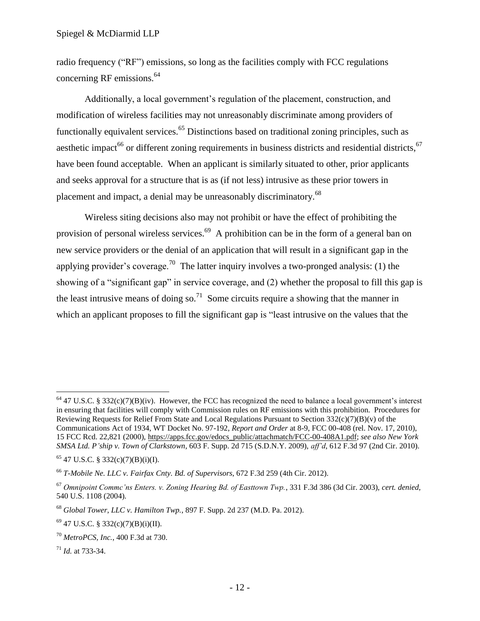radio frequency ("RF") emissions, so long as the facilities comply with FCC regulations concerning RF emissions.<sup>64</sup>

Additionally, a local government's regulation of the placement, construction, and modification of wireless facilities may not unreasonably discriminate among providers of functionally equivalent services.<sup>65</sup> Distinctions based on traditional zoning principles, such as aesthetic impact<sup>66</sup> or different zoning requirements in business districts and residential districts,  $67$ have been found acceptable. When an applicant is similarly situated to other, prior applicants and seeks approval for a structure that is as (if not less) intrusive as these prior towers in placement and impact, a denial may be unreasonably discriminatory.<sup>68</sup>

Wireless siting decisions also may not prohibit or have the effect of prohibiting the provision of personal wireless services.<sup>69</sup> A prohibition can be in the form of a general ban on new service providers or the denial of an application that will result in a significant gap in the applying provider's coverage.<sup>70</sup> The latter inquiry involves a two-pronged analysis: (1) the showing of a "significant gap" in service coverage, and  $(2)$  whether the proposal to fill this gap is the least intrusive means of doing so.<sup>71</sup> Some circuits require a showing that the manner in which an applicant proposes to fill the significant gap is "least intrusive on the values that the

 $64$  47 U.S.C. § 332(c)(7)(B)(iv). However, the FCC has recognized the need to balance a local government's interest in ensuring that facilities will comply with Commission rules on RF emissions with this prohibition. Procedures for Reviewing Requests for Relief From State and Local Regulations Pursuant to Section  $332(c)(7)(B)(v)$  of the Communications Act of 1934, WT Docket No. 97-192, *Report and Order* at 8-9, FCC 00-408 (rel. Nov. 17, 2010), 15 FCC Rcd. 22,821 (2000)[, https://apps.fcc.gov/edocs\\_public/attachmatch/FCC-00-408A1.pdf;](https://apps.fcc.gov/edocs_public/attachmatch/FCC-00-408A1.pdf) *see also New York SMSA Ltd. P'ship v. Town of Clarkstown*, 603 F. Supp. 2d 715 (S.D.N.Y. 2009), *aff'd*, 612 F.3d 97 (2nd Cir. 2010).

<sup>65</sup> 47 U.S.C. § 332(c)(7)(B)(i)(I).

<sup>66</sup> *T-Mobile Ne. LLC v. Fairfax Cnty. Bd. of Supervisors*, 672 F.3d 259 (4th Cir. 2012).

<sup>67</sup> *Omnipoint Commc'ns Enters. v. Zoning Hearing Bd. of Easttown Twp.*, 331 F.3d 386 (3d Cir. 2003), *cert. denied,*  540 U.S. 1108 (2004).

<sup>68</sup> *Global Tower, LLC v. Hamilton Twp.*, 897 F. Supp. 2d 237 (M.D. Pa. 2012).

 $69$  47 U.S.C. § 332(c)(7)(B)(i)(II).

<sup>70</sup> *MetroPCS, Inc.*, 400 F.3d at 730.

<sup>71</sup> *Id.* at 733-34.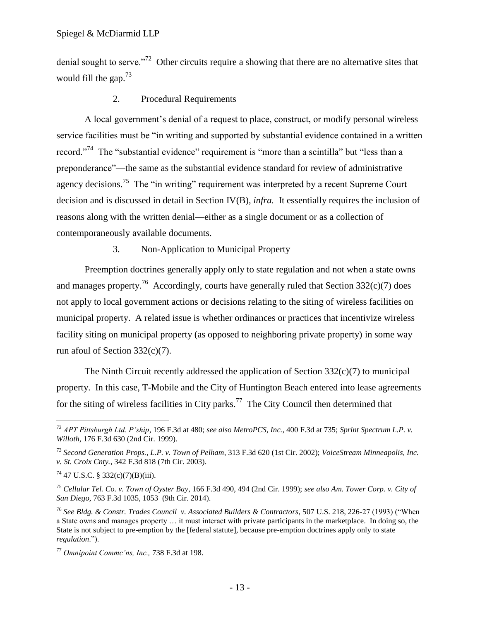denial sought to serve."<sup>72</sup> Other circuits require a showing that there are no alternative sites that would fill the gap.<sup>73</sup>

## 2. Procedural Requirements

<span id="page-16-0"></span>A local government's denial of a request to place, construct, or modify personal wireless service facilities must be "in writing and supported by substantial evidence contained in a written record.<sup>774</sup> The "substantial evidence" requirement is "more than a scintilla" but "less than a preponderance"—the same as the substantial evidence standard for review of administrative agency decisions.<sup>75</sup> The "in writing" requirement was interpreted by a recent Supreme Court decision and is discussed in detail in Section IV(B), *infra.* It essentially requires the inclusion of reasons along with the written denial—either as a single document or as a collection of contemporaneously available documents.

## 3. Non-Application to Municipal Property

<span id="page-16-1"></span>Preemption doctrines generally apply only to state regulation and not when a state owns and manages property.<sup>76</sup> Accordingly, courts have generally ruled that Section 332(c)(7) does not apply to local government actions or decisions relating to the siting of wireless facilities on municipal property. A related issue is whether ordinances or practices that incentivize wireless facility siting on municipal property (as opposed to neighboring private property) in some way run afoul of Section 332(c)(7).

The Ninth Circuit recently addressed the application of Section  $332(c)(7)$  to municipal property. In this case, T-Mobile and the City of Huntington Beach entered into lease agreements for the siting of wireless facilities in City parks.<sup>77</sup> The City Council then determined that

<sup>72</sup> *APT Pittsburgh Ltd. P'ship*, 196 F.3d at 480; *see also MetroPCS, Inc.,* 400 F.3d at 735; *Sprint Spectrum L.P. v. Willoth*, 176 F.3d 630 (2nd Cir. 1999).

<sup>73</sup> *Second Generation Props., L.P. v. Town of Pelham*, 313 F.3d 620 (1st Cir. 2002); *VoiceStream Minneapolis, Inc. v. St. Croix Cnty.*, 342 F.3d 818 (7th Cir. 2003).

 $^{74}$  47 U.S.C. § 332(c)(7)(B)(iii).

<sup>75</sup> *Cellular Tel. Co. v. Town of Oyster Bay*, 166 F.3d 490, 494 (2nd Cir. 1999); *see also Am. Tower Corp. v. City of San Diego*, 763 F.3d 1035, 1053 (9th Cir. 2014).

<sup>&</sup>lt;sup>76</sup> See Bldg. & Constr. Trades Council v. Associated Builders & Contractors, 507 U.S. 218, 226-27 (1993) ("When a State owns and manages property … it must interact with private participants in the marketplace. In doing so, the State is not subject to pre-emption by the [federal statute], because pre-emption doctrines apply only to state *regulation*.‖).

<sup>77</sup> *Omnipoint Commc'ns, Inc.,* 738 F.3d at 198.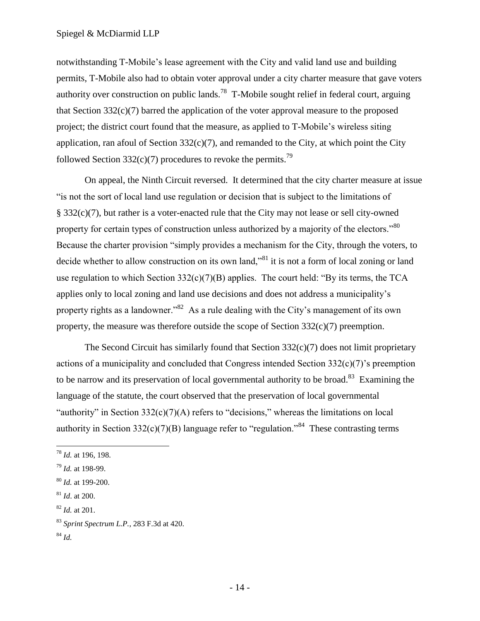notwithstanding T-Mobile's lease agreement with the City and valid land use and building permits, T-Mobile also had to obtain voter approval under a city charter measure that gave voters authority over construction on public lands.<sup>78</sup> T-Mobile sought relief in federal court, arguing that Section 332(c)(7) barred the application of the voter approval measure to the proposed project; the district court found that the measure, as applied to T-Mobile's wireless siting application, ran afoul of Section  $332(c)(7)$ , and remanded to the City, at which point the City followed Section 332(c)(7) procedures to revoke the permits.<sup>79</sup>

On appeal, the Ninth Circuit reversed. It determined that the city charter measure at issue ―is not the sort of local land use regulation or decision that is subject to the limitations of § 332(c)(7), but rather is a voter-enacted rule that the City may not lease or sell city-owned property for certain types of construction unless authorized by a majority of the electors."<sup>80</sup> Because the charter provision "simply provides a mechanism for the City, through the voters, to decide whether to allow construction on its own land,<sup>81</sup> it is not a form of local zoning or land use regulation to which Section  $332(c)(7)(B)$  applies. The court held: "By its terms, the TCA applies only to local zoning and land use decisions and does not address a municipality's property rights as a landowner."<sup>82</sup> As a rule dealing with the City's management of its own property, the measure was therefore outside the scope of Section 332(c)(7) preemption.

The Second Circuit has similarly found that Section  $332(c)(7)$  does not limit proprietary actions of a municipality and concluded that Congress intended Section 332(c)(7)'s preemption to be narrow and its preservation of local governmental authority to be broad.<sup>83</sup> Examining the language of the statute, the court observed that the preservation of local governmental "authority" in Section  $332(c)(7)(A)$  refers to "decisions," whereas the limitations on local authority in Section 332(c)(7)(B) language refer to "regulation."<sup>84</sup> These contrasting terms

<sup>82</sup> *Id.* at 201.

<sup>78</sup> *Id.* at 196, 198.

<sup>79</sup> *Id.* at 198-99.

<sup>80</sup> *Id.* at 199-200.

<sup>81</sup> *Id*. at 200.

<sup>83</sup> *Sprint Spectrum L.P.*, 283 F.3d at 420.

<sup>84</sup> *Id.*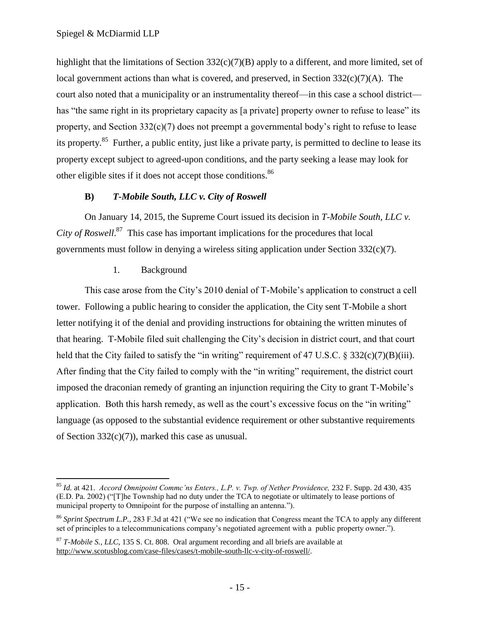highlight that the limitations of Section 332(c)(7)(B) apply to a different, and more limited, set of local government actions than what is covered, and preserved, in Section 332(c)(7)(A). The court also noted that a municipality or an instrumentality thereof—in this case a school district has "the same right in its proprietary capacity as [a private] property owner to refuse to lease" its property, and Section 332(c)(7) does not preempt a governmental body's right to refuse to lease its property.<sup>85</sup> Further, a public entity, just like a private party, is permitted to decline to lease its property except subject to agreed-upon conditions, and the party seeking a lease may look for other eligible sites if it does not accept those conditions.<sup>86</sup>

## **B)** *T-Mobile South, LLC v. City of Roswell*

<span id="page-18-0"></span>On January 14, 2015, the Supreme Court issued its decision in *T-Mobile South, LLC v. City of Roswell*. 87 This case has important implications for the procedures that local governments must follow in denying a wireless siting application under Section 332(c)(7).

#### 1. Background

 $\overline{a}$ 

<span id="page-18-1"></span>This case arose from the City's 2010 denial of T-Mobile's application to construct a cell tower. Following a public hearing to consider the application, the City sent T-Mobile a short letter notifying it of the denial and providing instructions for obtaining the written minutes of that hearing. T-Mobile filed suit challenging the City's decision in district court, and that court held that the City failed to satisfy the "in writing" requirement of 47 U.S.C.  $\frac{2}{3}$  332(c)(7)(B)(iii). After finding that the City failed to comply with the "in writing" requirement, the district court imposed the draconian remedy of granting an injunction requiring the City to grant T-Mobile's application. Both this harsh remedy, as well as the court's excessive focus on the "in writing" language (as opposed to the substantial evidence requirement or other substantive requirements of Section 332(c)(7)), marked this case as unusual.

<sup>85</sup> *Id.* at 421. *Accord Omnipoint Commc'ns Enters., L.P. v. Twp. of Nether Providence,* 232 F. Supp. 2d 430, 435 (E.D. Pa. 2002) ("T]he Township had no duty under the TCA to negotiate or ultimately to lease portions of municipal property to Omnipoint for the purpose of installing an antenna.").

<sup>&</sup>lt;sup>86</sup> *Sprint Spectrum L.P.*, 283 F.3d at 421 ("We see no indication that Congress meant the TCA to apply any different set of principles to a telecommunications company's negotiated agreement with a public property owner.").

<sup>87</sup> *T-Mobile S., LLC*, 135 S. Ct. 808. Oral argument recording and all briefs are available at [http://www.scotusblog.com/case-files/cases/t-mobile-south-llc-v-city-of-roswell/.](http://www.scotusblog.com/case-files/cases/t-mobile-south-llc-v-city-of-roswell/)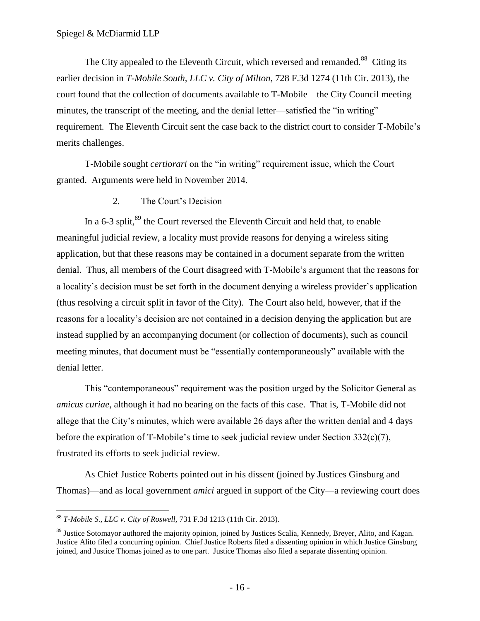The City appealed to the Eleventh Circuit, which reversed and remanded.<sup>88</sup> Citing its earlier decision in *T-Mobile South, LLC v. City of Milton*, 728 F.3d 1274 (11th Cir. 2013), the court found that the collection of documents available to T-Mobile—the City Council meeting minutes, the transcript of the meeting, and the denial letter—satisfied the "in writing" requirement. The Eleventh Circuit sent the case back to the district court to consider T-Mobile's merits challenges.

T-Mobile sought *certiorari* on the "in writing" requirement issue, which the Court granted. Arguments were held in November 2014.

2. The Court's Decision

<span id="page-19-0"></span>In a  $6-3$  split, $89$  the Court reversed the Eleventh Circuit and held that, to enable meaningful judicial review, a locality must provide reasons for denying a wireless siting application, but that these reasons may be contained in a document separate from the written denial. Thus, all members of the Court disagreed with T-Mobile's argument that the reasons for a locality's decision must be set forth in the document denying a wireless provider's application (thus resolving a circuit split in favor of the City). The Court also held, however, that if the reasons for a locality's decision are not contained in a decision denying the application but are instead supplied by an accompanying document (or collection of documents), such as council meeting minutes, that document must be "essentially contemporaneously" available with the denial letter.

This "contemporaneous" requirement was the position urged by the Solicitor General as *amicus curiae*, although it had no bearing on the facts of this case. That is, T-Mobile did not allege that the City's minutes, which were available 26 days after the written denial and 4 days before the expiration of T-Mobile's time to seek judicial review under Section 332(c)(7), frustrated its efforts to seek judicial review.

As Chief Justice Roberts pointed out in his dissent (joined by Justices Ginsburg and Thomas)—and as local government *amici* argued in support of the City—a reviewing court does

<sup>88</sup> *T-Mobile S., LLC v. City of Roswell,* 731 F.3d 1213 (11th Cir. 2013).

<sup>&</sup>lt;sup>89</sup> Justice Sotomayor authored the majority opinion, joined by Justices Scalia, Kennedy, Breyer, Alito, and Kagan. Justice Alito filed a concurring opinion. Chief Justice Roberts filed a dissenting opinion in which Justice Ginsburg joined, and Justice Thomas joined as to one part. Justice Thomas also filed a separate dissenting opinion.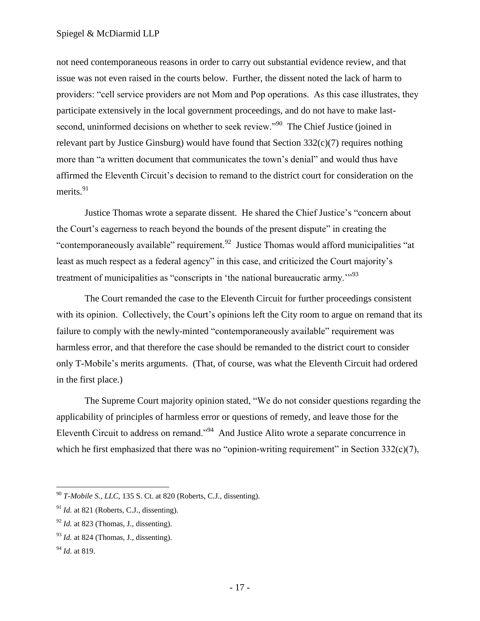#### Spiegel & McDiarmid LLP

not need contemporaneous reasons in order to carry out substantial evidence review, and that issue was not even raised in the courts below. Further, the dissent noted the lack of harm to providers: "cell service providers are not Mom and Pop operations. As this case illustrates, they participate extensively in the local government proceedings, and do not have to make lastsecond, uninformed decisions on whether to seek review."<sup>90</sup> The Chief Justice (joined in relevant part by Justice Ginsburg) would have found that Section 332(c)(7) requires nothing more than "a written document that communicates the town's denial" and would thus have affirmed the Eleventh Circuit's decision to remand to the district court for consideration on the merits.<sup>91</sup>

Justice Thomas wrote a separate dissent. He shared the Chief Justice's "concern about the Court's eagerness to reach beyond the bounds of the present dispute" in creating the "contemporaneously available" requirement.<sup>92</sup> Justice Thomas would afford municipalities "at least as much respect as a federal agency" in this case, and criticized the Court majority's treatment of municipalities as "conscripts in 'the national bureaucratic army.'"<sup>93</sup>

The Court remanded the case to the Eleventh Circuit for further proceedings consistent with its opinion. Collectively, the Court's opinions left the City room to argue on remand that its failure to comply with the newly-minted "contemporaneously available" requirement was harmless error, and that therefore the case should be remanded to the district court to consider only T-Mobile's merits arguments. (That, of course, was what the Eleventh Circuit had ordered in the first place.)

The Supreme Court majority opinion stated, "We do not consider questions regarding the applicability of principles of harmless error or questions of remedy, and leave those for the Eleventh Circuit to address on remand."<sup>94</sup> And Justice Alito wrote a separate concurrence in which he first emphasized that there was no "opinion-writing requirement" in Section  $332(c)(7)$ ,

<sup>90</sup> *T-Mobile S., LLC*, 135 S. Ct. at 820 (Roberts, C.J., dissenting).

 $91$  *Id.* at 821 (Roberts, C.J., dissenting).

 $92$  *Id.* at 823 (Thomas, J., dissenting).

 $^{93}$  *Id.* at 824 (Thomas, J., dissenting).

<sup>94</sup> *Id.* at 819.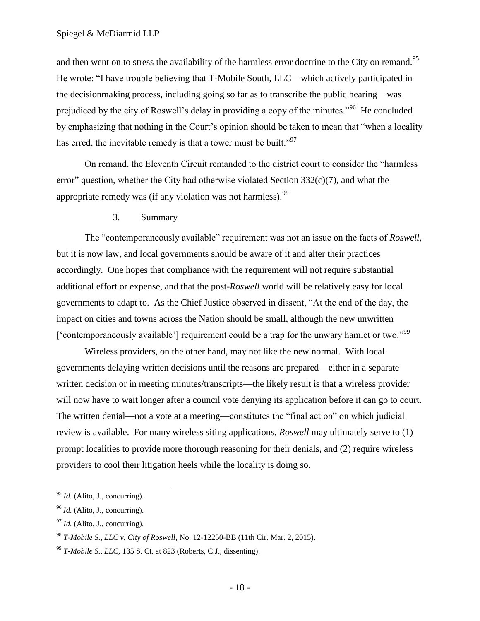and then went on to stress the availability of the harmless error doctrine to the City on remand.<sup>95</sup> He wrote: "I have trouble believing that T-Mobile South, LLC—which actively participated in the decisionmaking process, including going so far as to transcribe the public hearing—was prejudiced by the city of Roswell's delay in providing a copy of the minutes."<sup>96</sup> He concluded by emphasizing that nothing in the Court's opinion should be taken to mean that "when a locality" has erred, the inevitable remedy is that a tower must be built."<sup>97</sup>

On remand, the Eleventh Circuit remanded to the district court to consider the "harmless" error" question, whether the City had otherwise violated Section  $332(c)(7)$ , and what the appropriate remedy was (if any violation was not harmless).  $98$ 

3. Summary

<span id="page-21-0"></span>The "contemporaneously available" requirement was not an issue on the facts of *Roswell*, but it is now law, and local governments should be aware of it and alter their practices accordingly. One hopes that compliance with the requirement will not require substantial additional effort or expense, and that the post-*Roswell* world will be relatively easy for local governments to adapt to. As the Chief Justice observed in dissent, "At the end of the day, the impact on cities and towns across the Nation should be small, although the new unwritten ['contemporaneously available'] requirement could be a trap for the unwary hamlet or two."<sup>99</sup>

Wireless providers, on the other hand, may not like the new normal. With local governments delaying written decisions until the reasons are prepared—either in a separate written decision or in meeting minutes/transcripts—the likely result is that a wireless provider will now have to wait longer after a council vote denying its application before it can go to court. The written denial—not a vote at a meeting—constitutes the "final action" on which judicial review is available. For many wireless siting applications, *Roswell* may ultimately serve to (1) prompt localities to provide more thorough reasoning for their denials, and (2) require wireless providers to cool their litigation heels while the locality is doing so.

 $\overline{a}$ <sup>95</sup> *Id.* (Alito, J., concurring).

<sup>&</sup>lt;sup>96</sup> *Id.* (Alito, J., concurring).

 $^{97}$  *Id.* (Alito, J., concurring).

<sup>98</sup> *T-Mobile S., LLC v. City of Roswell*, No. 12-12250-BB (11th Cir. Mar. 2, 2015).

<sup>99</sup> *T-Mobile S., LLC,* 135 S. Ct. at 823 (Roberts, C.J., dissenting).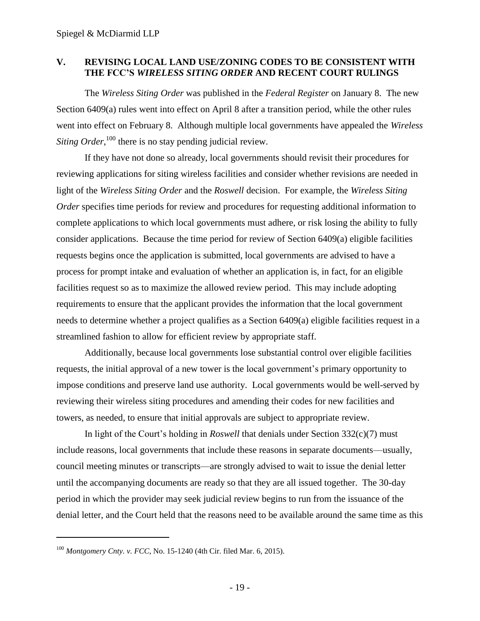#### <span id="page-22-0"></span>**V. REVISING LOCAL LAND USE/ZONING CODES TO BE CONSISTENT WITH THE FCC'S** *WIRELESS SITING ORDER* **AND RECENT COURT RULINGS**

The *Wireless Siting Order* was published in the *Federal Register* on January 8. The new Section 6409(a) rules went into effect on April 8 after a transition period, while the other rules went into effect on February 8. Although multiple local governments have appealed the *Wireless*  Siting Order,<sup>100</sup> there is no stay pending judicial review.

If they have not done so already, local governments should revisit their procedures for reviewing applications for siting wireless facilities and consider whether revisions are needed in light of the *Wireless Siting Order* and the *Roswell* decision. For example, the *Wireless Siting Order* specifies time periods for review and procedures for requesting additional information to complete applications to which local governments must adhere, or risk losing the ability to fully consider applications. Because the time period for review of Section 6409(a) eligible facilities requests begins once the application is submitted, local governments are advised to have a process for prompt intake and evaluation of whether an application is, in fact, for an eligible facilities request so as to maximize the allowed review period. This may include adopting requirements to ensure that the applicant provides the information that the local government needs to determine whether a project qualifies as a Section 6409(a) eligible facilities request in a streamlined fashion to allow for efficient review by appropriate staff.

Additionally, because local governments lose substantial control over eligible facilities requests, the initial approval of a new tower is the local government's primary opportunity to impose conditions and preserve land use authority. Local governments would be well-served by reviewing their wireless siting procedures and amending their codes for new facilities and towers, as needed, to ensure that initial approvals are subject to appropriate review.

In light of the Court's holding in *Roswell* that denials under Section 332(c)(7) must include reasons, local governments that include these reasons in separate documents—usually, council meeting minutes or transcripts—are strongly advised to wait to issue the denial letter until the accompanying documents are ready so that they are all issued together. The 30-day period in which the provider may seek judicial review begins to run from the issuance of the denial letter, and the Court held that the reasons need to be available around the same time as this

<sup>100</sup> *Montgomery Cnty. v. FCC*, No. 15-1240 (4th Cir. filed Mar. 6, 2015).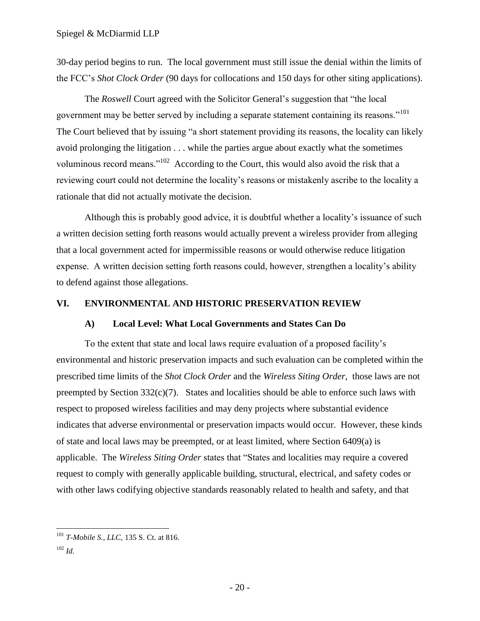30-day period begins to run. The local government must still issue the denial within the limits of the FCC's *Shot Clock Order* (90 days for collocations and 150 days for other siting applications).

The *Roswell* Court agreed with the Solicitor General's suggestion that "the local government may be better served by including a separate statement containing its reasons."<sup>101</sup> The Court believed that by issuing "a short statement providing its reasons, the locality can likely avoid prolonging the litigation . . . while the parties argue about exactly what the sometimes voluminous record means."<sup>102</sup> According to the Court, this would also avoid the risk that a reviewing court could not determine the locality's reasons or mistakenly ascribe to the locality a rationale that did not actually motivate the decision.

Although this is probably good advice, it is doubtful whether a locality's issuance of such a written decision setting forth reasons would actually prevent a wireless provider from alleging that a local government acted for impermissible reasons or would otherwise reduce litigation expense. A written decision setting forth reasons could, however, strengthen a locality's ability to defend against those allegations.

#### <span id="page-23-1"></span><span id="page-23-0"></span>**VI. ENVIRONMENTAL AND HISTORIC PRESERVATION REVIEW**

#### **A) Local Level: What Local Governments and States Can Do**

To the extent that state and local laws require evaluation of a proposed facility's environmental and historic preservation impacts and such evaluation can be completed within the prescribed time limits of the *Shot Clock Order* and the *Wireless Siting Order*, those laws are not preempted by Section 332(c)(7). States and localities should be able to enforce such laws with respect to proposed wireless facilities and may deny projects where substantial evidence indicates that adverse environmental or preservation impacts would occur. However, these kinds of state and local laws may be preempted, or at least limited, where Section 6409(a) is applicable. The *Wireless Siting Order* states that "States and localities may require a covered request to comply with generally applicable building, structural, electrical, and safety codes or with other laws codifying objective standards reasonably related to health and safety, and that

<sup>101</sup> *T-Mobile S., LLC,* 135 S. Ct. at 816.

<sup>102</sup> *Id.*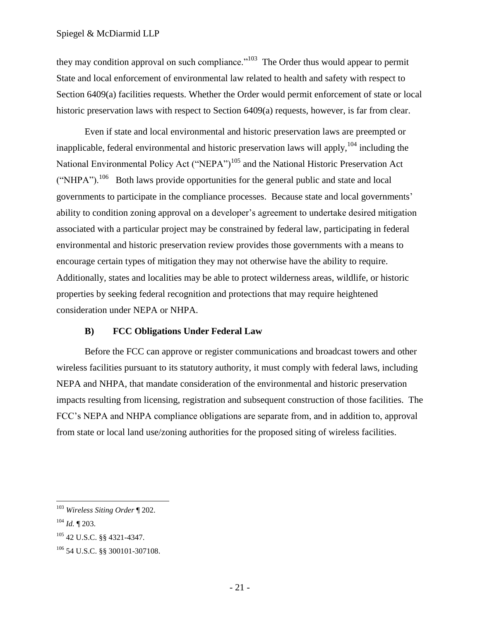they may condition approval on such compliance."<sup>103</sup> The Order thus would appear to permit State and local enforcement of environmental law related to health and safety with respect to Section 6409(a) facilities requests. Whether the Order would permit enforcement of state or local historic preservation laws with respect to Section 6409(a) requests, however, is far from clear.

Even if state and local environmental and historic preservation laws are preempted or inapplicable, federal environmental and historic preservation laws will apply,  $104$  including the National Environmental Policy Act ("NEPA")<sup>105</sup> and the National Historic Preservation Act ("NHPA").<sup>106</sup> Both laws provide opportunities for the general public and state and local governments to participate in the compliance processes. Because state and local governments' ability to condition zoning approval on a developer's agreement to undertake desired mitigation associated with a particular project may be constrained by federal law, participating in federal environmental and historic preservation review provides those governments with a means to encourage certain types of mitigation they may not otherwise have the ability to require. Additionally, states and localities may be able to protect wilderness areas, wildlife, or historic properties by seeking federal recognition and protections that may require heightened consideration under NEPA or NHPA.

#### **B) FCC Obligations Under Federal Law**

<span id="page-24-0"></span>Before the FCC can approve or register communications and broadcast towers and other wireless facilities pursuant to its statutory authority, it must comply with federal laws, including NEPA and NHPA, that mandate consideration of the environmental and historic preservation impacts resulting from licensing, registration and subsequent construction of those facilities. The FCC's NEPA and NHPA compliance obligations are separate from, and in addition to, approval from state or local land use/zoning authorities for the proposed siting of wireless facilities.

<sup>103</sup> *Wireless Siting Order* ¶ 202.

<sup>104</sup> *Id.* ¶ 203.

<sup>105</sup> 42 U.S.C. §§ 4321*-*4347.

<sup>106</sup> 54 U.S.C. §§ 300101-307108.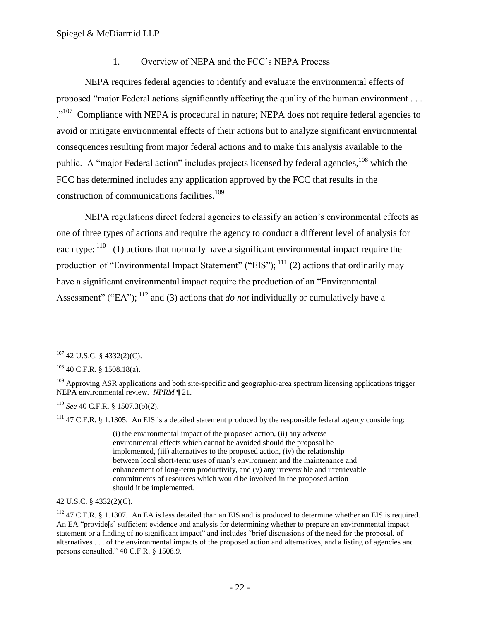#### 1. Overview of NEPA and the FCC's NEPA Process

<span id="page-25-0"></span>NEPA requires federal agencies to identify and evaluate the environmental effects of proposed "major Federal actions significantly affecting the quality of the human environment . . . .<sup>107</sup> Compliance with NEPA is procedural in nature; NEPA does not require federal agencies to avoid or mitigate environmental effects of their actions but to analyze significant environmental consequences resulting from major federal actions and to make this analysis available to the public. A "major Federal action" includes projects licensed by federal agencies,<sup>108</sup> which the FCC has determined includes any application approved by the FCC that results in the construction of communications facilities.<sup>109</sup>

NEPA regulations direct federal agencies to classify an action's environmental effects as one of three types of actions and require the agency to conduct a different level of analysis for each type:  $110$  (1) actions that normally have a significant environmental impact require the production of "Environmental Impact Statement" ("EIS");  $^{111}$  (2) actions that ordinarily may have a significant environmental impact require the production of an "Environmental" Assessment" ("EA");  $^{112}$  and (3) actions that *do not* individually or cumulatively have a

 $\overline{a}$ 

<sup>110</sup> *See* 40 C.F.R. § 1507.3(b)(2).

 $111$  47 C.F.R. § 1.1305. An EIS is a detailed statement produced by the responsible federal agency considering:

(i) the environmental impact of the proposed action, (ii) any adverse environmental effects which cannot be avoided should the proposal be implemented, (iii) alternatives to the proposed action, (iv) the relationship between local short-term uses of man's environment and the maintenance and enhancement of long-term productivity, and (v) any irreversible and irretrievable commitments of resources which would be involved in the proposed action should it be implemented.

42 U.S.C. § 4332(2)(C).

 $107$  42 U.S.C. § 4332(2)(C).

 $108$  40 C.F.R. § 1508.18(a).

 $109$  Approving ASR applications and both site-specific and geographic-area spectrum licensing applications trigger NEPA environmental review. *NPRM* ¶ 21.

 $112$  47 C.F.R. § 1.1307. An EA is less detailed than an EIS and is produced to determine whether an EIS is required. An EA "provide [s] sufficient evidence and analysis for determining whether to prepare an environmental impact statement or a finding of no significant impact" and includes "brief discussions of the need for the proposal, of alternatives . . . of the environmental impacts of the proposed action and alternatives, and a listing of agencies and persons consulted."  $40$  C.F.R. § 1508.9.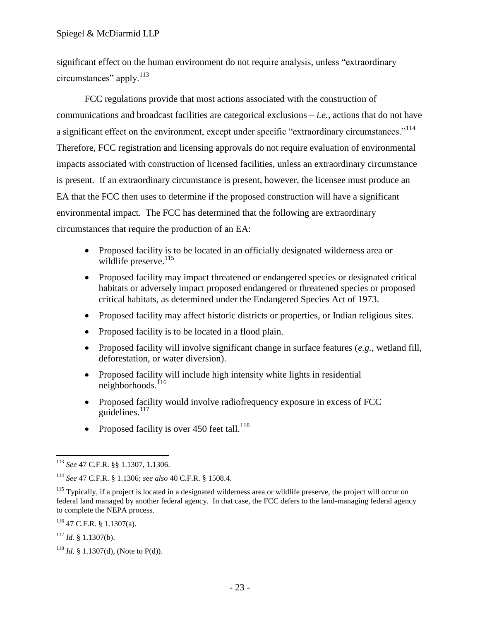significant effect on the human environment do not require analysis, unless "extraordinary" circumstances" apply. $^{113}$ 

FCC regulations provide that most actions associated with the construction of communications and broadcast facilities are categorical exclusions – *i.e.,* actions that do not have a significant effect on the environment, except under specific "extraordinary circumstances."<sup>114</sup> Therefore, FCC registration and licensing approvals do not require evaluation of environmental impacts associated with construction of licensed facilities, unless an extraordinary circumstance is present. If an extraordinary circumstance is present, however, the licensee must produce an EA that the FCC then uses to determine if the proposed construction will have a significant environmental impact. The FCC has determined that the following are extraordinary circumstances that require the production of an EA:

- Proposed facility is to be located in an officially designated wilderness area or wildlife preserve.<sup>115</sup>
- Proposed facility may impact threatened or endangered species or designated critical habitats or adversely impact proposed endangered or threatened species or proposed critical habitats, as determined under the Endangered Species Act of 1973.
- Proposed facility may affect historic districts or properties, or Indian religious sites.
- Proposed facility is to be located in a flood plain.
- Proposed facility will involve significant change in surface features (*e.g.*, wetland fill, deforestation, or water diversion).
- Proposed facility will include high intensity white lights in residential  $nei$ ghborhoods.<sup>116</sup>
- Proposed facility would involve radiofrequency exposure in excess of FCC guidelines. $117$
- Proposed facility is over 450 feet tall.<sup>118</sup>

 $\overline{a}$ <sup>113</sup> *See* 47 C.F.R. §§ 1.1307, 1.1306.

<sup>114</sup> *See* 47 C.F.R. § 1.1306; *see also* 40 C.F.R. § 1508.4.

<sup>&</sup>lt;sup>115</sup> Typically, if a project is located in a designated wilderness area or wildlife preserve, the project will occur on federal land managed by another federal agency. In that case, the FCC defers to the land-managing federal agency to complete the NEPA process.

<sup>116</sup> 47 C.F.R. § 1.1307(a).

<sup>117</sup> *Id.* § 1.1307(b).

<sup>&</sup>lt;sup>118</sup> *Id.* § 1.1307(d), (Note to P(d)).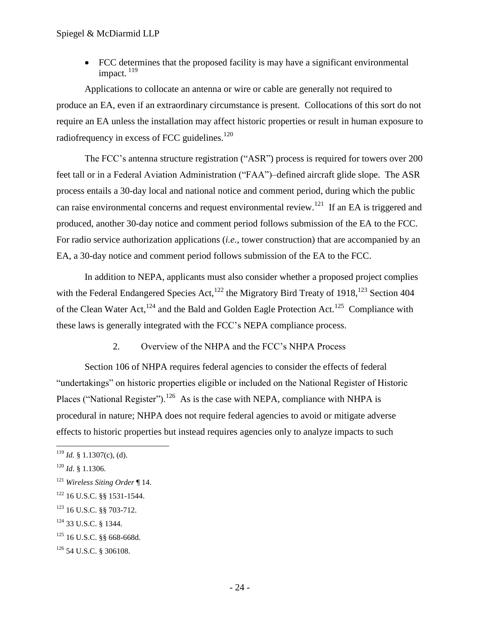FCC determines that the proposed facility is may have a significant environmental impact.<sup>119</sup>

Applications to collocate an antenna or wire or cable are generally not required to produce an EA, even if an extraordinary circumstance is present. Collocations of this sort do not require an EA unless the installation may affect historic properties or result in human exposure to radiofrequency in excess of FCC guidelines.<sup>120</sup>

The FCC's antenna structure registration ("ASR") process is required for towers over 200 feet tall or in a Federal Aviation Administration ("FAA")–defined aircraft glide slope. The ASR process entails a 30-day local and national notice and comment period, during which the public can raise environmental concerns and request environmental review.<sup>121</sup> If an EA is triggered and produced, another 30-day notice and comment period follows submission of the EA to the FCC. For radio service authorization applications (*i.e*., tower construction) that are accompanied by an EA, a 30-day notice and comment period follows submission of the EA to the FCC.

In addition to NEPA, applicants must also consider whether a proposed project complies with the Federal Endangered Species Act,<sup>122</sup> the Migratory Bird Treaty of 1918,<sup>123</sup> Section 404 of the Clean Water Act,  $^{124}$  and the Bald and Golden Eagle Protection Act.  $^{125}$  Compliance with these laws is generally integrated with the FCC's NEPA compliance process.

2. Overview of the NHPA and the FCC's NHPA Process

<span id="page-27-0"></span>Section 106 of NHPA requires federal agencies to consider the effects of federal "undertakings" on historic properties eligible or included on the National Register of Historic Places ("National Register").<sup>126</sup> As is the case with NEPA, compliance with NHPA is procedural in nature; NHPA does not require federal agencies to avoid or mitigate adverse effects to historic properties but instead requires agencies only to analyze impacts to such

 $119$  *Id.* § 1.1307(c), (d).

<sup>120</sup> *Id*. § 1.1306.

<sup>121</sup> *Wireless Siting Order* ¶ 14.

<sup>122</sup> 16 U.S.C. §§ 1531-1544.

<sup>&</sup>lt;sup>123</sup> 16 U.S.C. §§ 703-712.

<sup>124</sup> 33 U.S.C. § 1344.

<sup>125</sup> 16 U.S.C. §§ 668-668d.

<sup>126</sup> 54 U.S.C. § 306108.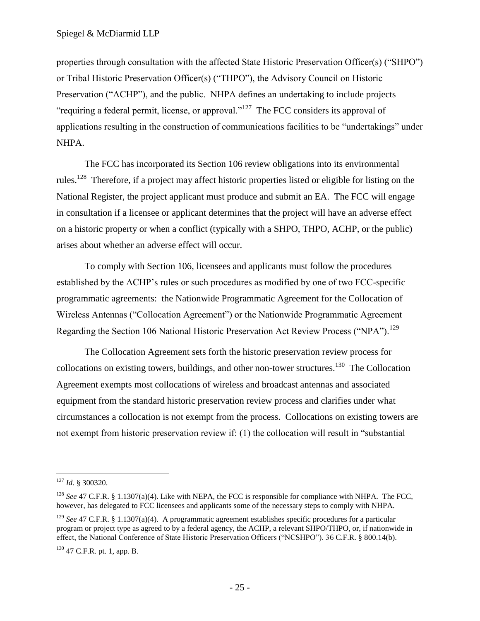properties through consultation with the affected State Historic Preservation Officer(s) ("SHPO") or Tribal Historic Preservation Officer(s) ("THPO"), the Advisory Council on Historic Preservation ("ACHP"), and the public. NHPA defines an undertaking to include projects "requiring a federal permit, license, or approval."<sup>127</sup> The FCC considers its approval of applications resulting in the construction of communications facilities to be "undertakings" under NHPA.

The FCC has incorporated its Section 106 review obligations into its environmental rules.<sup>128</sup> Therefore, if a project may affect historic properties listed or eligible for listing on the National Register, the project applicant must produce and submit an EA. The FCC will engage in consultation if a licensee or applicant determines that the project will have an adverse effect on a historic property or when a conflict (typically with a SHPO, THPO, ACHP, or the public) arises about whether an adverse effect will occur.

To comply with Section 106, licensees and applicants must follow the procedures established by the ACHP's rules or such procedures as modified by one of two FCC-specific programmatic agreements: the Nationwide Programmatic Agreement for the Collocation of Wireless Antennas ("Collocation Agreement") or the Nationwide Programmatic Agreement Regarding the Section 106 National Historic Preservation Act Review Process ("NPA").<sup>129</sup>

The Collocation Agreement sets forth the historic preservation review process for collocations on existing towers, buildings, and other non-tower structures.<sup>130</sup> The Collocation Agreement exempts most collocations of wireless and broadcast antennas and associated equipment from the standard historic preservation review process and clarifies under what circumstances a collocation is not exempt from the process. Collocations on existing towers are not exempt from historic preservation review if:  $(1)$  the collocation will result in "substantial"

 $\overline{a}$ <sup>127</sup> *Id.* § 300320.

<sup>&</sup>lt;sup>128</sup> *See* 47 C.F.R. § 1.1307(a)(4). Like with NEPA, the FCC is responsible for compliance with NHPA. The FCC, however, has delegated to FCC licensees and applicants some of the necessary steps to comply with NHPA.

<sup>&</sup>lt;sup>129</sup> *See* 47 C.F.R. § 1.1307(a)(4). A programmatic agreement establishes specific procedures for a particular program or project type as agreed to by a federal agency, the ACHP, a relevant SHPO/THPO, or, if nationwide in effect, the National Conference of State Historic Preservation Officers ("NCSHPO"). 36 C.F.R. § 800.14(b).

<sup>130</sup> 47 C.F.R. pt. 1, app. B.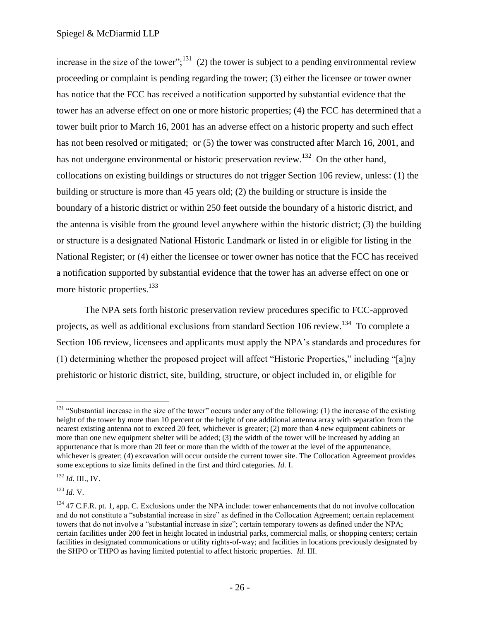increase in the size of the tower";<sup>131</sup> (2) the tower is subject to a pending environmental review proceeding or complaint is pending regarding the tower; (3) either the licensee or tower owner has notice that the FCC has received a notification supported by substantial evidence that the tower has an adverse effect on one or more historic properties; (4) the FCC has determined that a tower built prior to March 16, 2001 has an adverse effect on a historic property and such effect has not been resolved or mitigated; or  $(5)$  the tower was constructed after March 16, 2001, and has not undergone environmental or historic preservation review.<sup>132</sup> On the other hand, collocations on existing buildings or structures do not trigger Section 106 review, unless: (1) the building or structure is more than 45 years old; (2) the building or structure is inside the boundary of a historic district or within 250 feet outside the boundary of a historic district, and the antenna is visible from the ground level anywhere within the historic district; (3) the building or structure is a designated National Historic Landmark or listed in or eligible for listing in the National Register; or (4) either the licensee or tower owner has notice that the FCC has received a notification supported by substantial evidence that the tower has an adverse effect on one or more historic properties.<sup>133</sup>

The NPA sets forth historic preservation review procedures specific to FCC-approved projects, as well as additional exclusions from standard Section 106 review.<sup>134</sup> To complete a Section 106 review, licensees and applicants must apply the NPA's standards and procedures for  $(1)$  determining whether the proposed project will affect "Historic Properties," including "[a]ny prehistoric or historic district, site, building, structure, or object included in, or eligible for

<sup>132</sup> *Id*. III., IV.

<sup>133</sup> *Id.* V.

 $\overline{a}$  $131$  "Substantial increase in the size of the tower" occurs under any of the following: (1) the increase of the existing height of the tower by more than 10 percent or the height of one additional antenna array with separation from the nearest existing antenna not to exceed 20 feet, whichever is greater; (2) more than 4 new equipment cabinets or more than one new equipment shelter will be added; (3) the width of the tower will be increased by adding an appurtenance that is more than 20 feet or more than the width of the tower at the level of the appurtenance, whichever is greater; (4) excavation will occur outside the current tower site. The Collocation Agreement provides some exceptions to size limits defined in the first and third categories. *Id.* I.

 $134$  47 C.F.R. pt. 1, app. C. Exclusions under the NPA include: tower enhancements that do not involve collocation and do not constitute a "substantial increase in size" as defined in the Collocation Agreement; certain replacement towers that do not involve a "substantial increase in size"; certain temporary towers as defined under the NPA; certain facilities under 200 feet in height located in industrial parks, commercial malls, or shopping centers; certain facilities in designated communications or utility rights-of-way; and facilities in locations previously designated by the SHPO or THPO as having limited potential to affect historic properties. *Id.* III.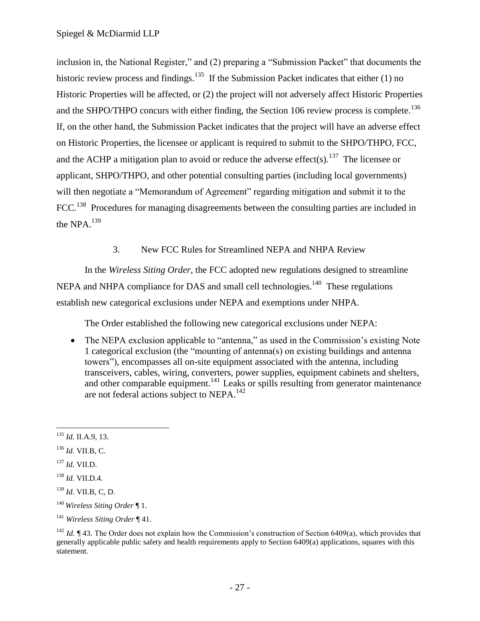inclusion in, the National Register," and (2) preparing a "Submission Packet" that documents the historic review process and findings.<sup>135</sup> If the Submission Packet indicates that either (1) no Historic Properties will be affected, or (2) the project will not adversely affect Historic Properties and the SHPO/THPO concurs with either finding, the Section 106 review process is complete.<sup>136</sup> If, on the other hand, the Submission Packet indicates that the project will have an adverse effect on Historic Properties, the licensee or applicant is required to submit to the SHPO/THPO, FCC, and the ACHP a mitigation plan to avoid or reduce the adverse effect(s).<sup>137</sup> The licensee or applicant, SHPO/THPO, and other potential consulting parties (including local governments) will then negotiate a "Memorandum of Agreement" regarding mitigation and submit it to the FCC.<sup>138</sup> Procedures for managing disagreements between the consulting parties are included in the NPA.<sup>139</sup>

3. New FCC Rules for Streamlined NEPA and NHPA Review

<span id="page-30-0"></span>In the *Wireless Siting Order*, the FCC adopted new regulations designed to streamline NEPA and NHPA compliance for DAS and small cell technologies.<sup>140</sup> These regulations establish new categorical exclusions under NEPA and exemptions under NHPA.

The Order established the following new categorical exclusions under NEPA:

• The NEPA exclusion applicable to "antenna," as used in the Commission's existing Note 1 categorical exclusion (the "mounting of antenna(s) on existing buildings and antenna towers‖), encompasses all on-site equipment associated with the antenna, including transceivers, cables, wiring, converters, power supplies, equipment cabinets and shelters, and other comparable equipment.<sup>141</sup> Leaks or spills resulting from generator maintenance are not federal actions subject to NEPA.<sup>142</sup>

 $\overline{a}$ <sup>135</sup> *Id.* II.A.9, 13.

<sup>136</sup> *Id.* VII.B, C.

<sup>137</sup> *Id.* VII.D.

<sup>138</sup> *Id.* VII.D.4.

<sup>139</sup> *Id*. VII.B, C, D.

<sup>140</sup> *Wireless Siting Order* ¶ 1.

<sup>141</sup> *Wireless Siting Order* ¶ 41.

<sup>&</sup>lt;sup>142</sup> *Id.* ¶ 43. The Order does not explain how the Commission's construction of Section 6409(a), which provides that generally applicable public safety and health requirements apply to Section 6409(a) applications, squares with this statement.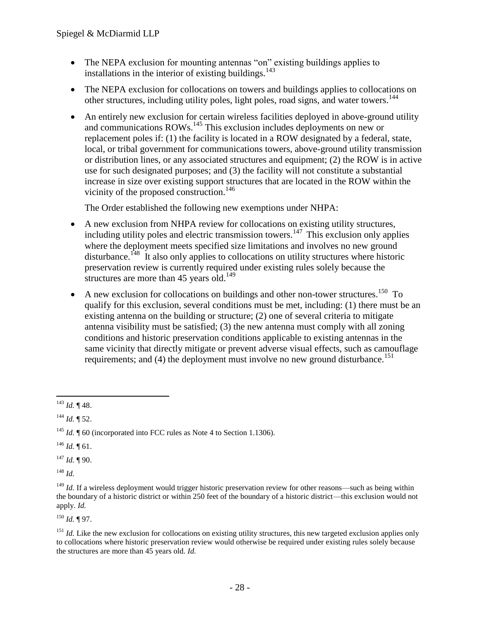- The NEPA exclusion for mounting antennas "on" existing buildings applies to installations in the interior of existing buildings.<sup>143</sup>
- The NEPA exclusion for collocations on towers and buildings applies to collocations on other structures, including utility poles, light poles, road signs, and water towers.<sup>144</sup>
- An entirely new exclusion for certain wireless facilities deployed in above-ground utility and communications ROWs.<sup>145</sup> This exclusion includes deployments on new or replacement poles if: (1) the facility is located in a ROW designated by a federal, state, local, or tribal government for communications towers, above-ground utility transmission or distribution lines, or any associated structures and equipment; (2) the ROW is in active use for such designated purposes; and (3) the facility will not constitute a substantial increase in size over existing support structures that are located in the ROW within the vicinity of the proposed construction.<sup>146</sup>

The Order established the following new exemptions under NHPA:

- A new exclusion from NHPA review for collocations on existing utility structures, including utility poles and electric transmission towers.<sup>147</sup> This exclusion only applies where the deployment meets specified size limitations and involves no new ground disturbance.<sup>148</sup> It also only applies to collocations on utility structures where historic preservation review is currently required under existing rules solely because the structures are more than 45 years old.<sup>149</sup>
- A new exclusion for collocations on buildings and other non-tower structures.<sup>150</sup> To qualify for this exclusion, several conditions must be met, including: (1) there must be an existing antenna on the building or structure; (2) one of several criteria to mitigate antenna visibility must be satisfied; (3) the new antenna must comply with all zoning conditions and historic preservation conditions applicable to existing antennas in the same vicinity that directly mitigate or prevent adverse visual effects, such as camouflage requirements; and  $(4)$  the deployment must involve no new ground disturbance.<sup>151</sup>

 $146$  *Id.* 161.

 $147$  *Id.* ¶ 90.

<sup>148</sup> *Id.*

<sup>150</sup> *Id.* ¶ 97.

 $\overline{a}$ <sup>143</sup> *Id.* ¶ 48.

<sup>144</sup> *Id.* ¶ 52.

<sup>&</sup>lt;sup>145</sup> *Id.*  $\parallel$  60 (incorporated into FCC rules as Note 4 to Section 1.1306).

<sup>&</sup>lt;sup>149</sup> *Id.* If a wireless deployment would trigger historic preservation review for other reasons—such as being within the boundary of a historic district or within 250 feet of the boundary of a historic district—this exclusion would not apply. *Id.*

<sup>&</sup>lt;sup>151</sup> *Id.* Like the new exclusion for collocations on existing utility structures, this new targeted exclusion applies only to collocations where historic preservation review would otherwise be required under existing rules solely because the structures are more than 45 years old*. Id.*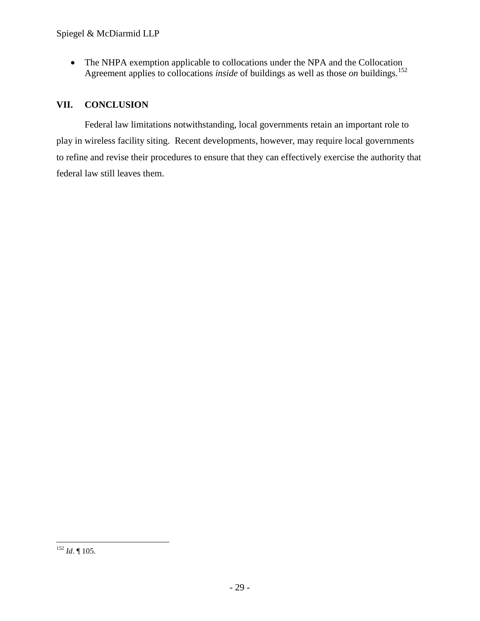• The NHPA exemption applicable to collocations under the NPA and the Collocation Agreement applies to collocations *inside* of buildings as well as those *on* buildings.<sup>152</sup>

# <span id="page-32-0"></span>**VII. CONCLUSION**

Federal law limitations notwithstanding, local governments retain an important role to play in wireless facility siting. Recent developments, however, may require local governments to refine and revise their procedures to ensure that they can effectively exercise the authority that federal law still leaves them.

 $\overline{a}$ <sup>152</sup> *Id*. ¶ 105.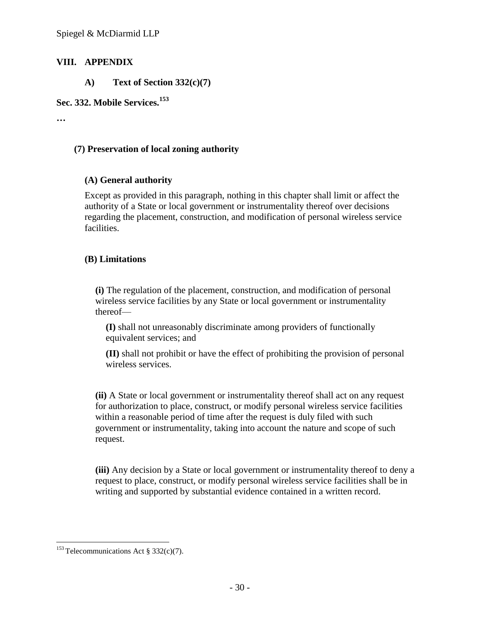## <span id="page-33-1"></span><span id="page-33-0"></span>**VIII. APPENDIX**

**A) Text of Section 332(c)(7)**

#### **Sec. 332. Mobile Services.<sup>153</sup>**

**…**

## **(7) Preservation of local zoning authority**

## **(A) General authority**

Except as provided in this paragraph, nothing in this chapter shall limit or affect the authority of a State or local government or instrumentality thereof over decisions regarding the placement, construction, and modification of personal wireless service facilities.

## **(B) Limitations**

**(i)** The regulation of the placement, construction, and modification of personal wireless service facilities by any State or local government or instrumentality thereof—

**(I)** shall not unreasonably discriminate among providers of functionally equivalent services; and

**(II)** shall not prohibit or have the effect of prohibiting the provision of personal wireless services.

**(ii)** A State or local government or instrumentality thereof shall act on any request for authorization to place, construct, or modify personal wireless service facilities within a reasonable period of time after the request is duly filed with such government or instrumentality, taking into account the nature and scope of such request.

**(iii)** Any decision by a State or local government or instrumentality thereof to deny a request to place, construct, or modify personal wireless service facilities shall be in writing and supported by substantial evidence contained in a written record.

 $\overline{a}$ <sup>153</sup> Telecommunications Act § 332(c)(7).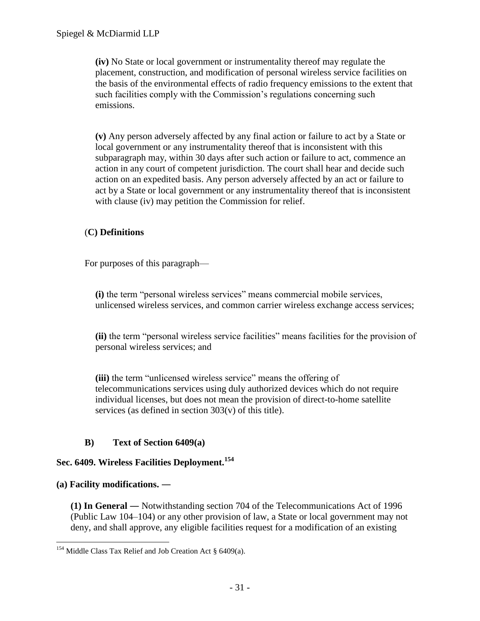**(iv)** No State or local government or instrumentality thereof may regulate the placement, construction, and modification of personal wireless service facilities on the basis of the environmental effects of radio frequency emissions to the extent that such facilities comply with the Commission's regulations concerning such emissions.

**(v)** Any person adversely affected by any final action or failure to act by a State or local government or any instrumentality thereof that is inconsistent with this subparagraph may, within 30 days after such action or failure to act, commence an action in any court of competent jurisdiction. The court shall hear and decide such action on an expedited basis. Any person adversely affected by an act or failure to act by a State or local government or any instrumentality thereof that is inconsistent with clause (iv) may petition the Commission for relief.

# (**C) Definitions**

For purposes of this paragraph—

**(i)** the term "personal wireless services" means commercial mobile services, unlicensed wireless services, and common carrier wireless exchange access services;

**(ii)** the term "personal wireless service facilities" means facilities for the provision of personal wireless services; and

**(iii)** the term "unlicensed wireless service" means the offering of telecommunications services using duly authorized devices which do not require individual licenses, but does not mean the provision of direct-to-home satellite services (as defined in section 30[3\(v\)](http://www.law.cornell.edu/uscode/text/47/usc_sec_47_00000303----000-#v) of this title).

# **B) Text of Section 6409(a)**

# <span id="page-34-0"></span>**Sec. 6409. Wireless Facilities Deployment.<sup>154</sup>**

#### **(a) Facility modifications. ―**

**(1) In General ―** Notwithstanding section 704 of the Telecommunications Act of 1996 (Public Law 104–104) or any other provision of law, a State or local government may not deny, and shall approve, any eligible facilities request for a modification of an existing

 $\overline{a}$ <sup>154</sup> Middle Class Tax Relief and Job Creation Act § 6409(a).